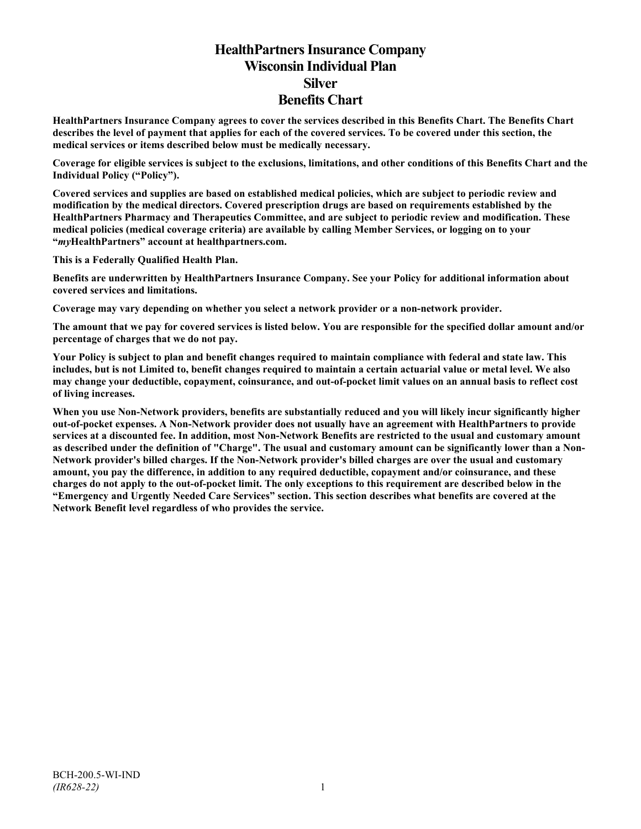# **HealthPartners Insurance Company Wisconsin Individual Plan Silver Benefits Chart**

**HealthPartners Insurance Company agrees to cover the services described in this Benefits Chart. The Benefits Chart describes the level of payment that applies for each of the covered services. To be covered under this section, the medical services or items described below must be medically necessary.**

**Coverage for eligible services is subject to the exclusions, limitations, and other conditions of this Benefits Chart and the Individual Policy ("Policy").**

**Covered services and supplies are based on established medical policies, which are subject to periodic review and modification by the medical directors. Covered prescription drugs are based on requirements established by the HealthPartners Pharmacy and Therapeutics Committee, and are subject to periodic review and modification. These medical policies (medical coverage criteria) are available by calling Member Services, or logging on to your "***my***HealthPartners" account at [healthpartners.com.](http://www.healthpartners.com/)**

**This is a Federally Qualified Health Plan.**

**Benefits are underwritten by HealthPartners Insurance Company. See your Policy for additional information about covered services and limitations.**

**Coverage may vary depending on whether you select a network provider or a non-network provider.**

**The amount that we pay for covered services is listed below. You are responsible for the specified dollar amount and/or percentage of charges that we do not pay.**

**Your Policy is subject to plan and benefit changes required to maintain compliance with federal and state law. This includes, but is not Limited to, benefit changes required to maintain a certain actuarial value or metal level. We also may change your deductible, copayment, coinsurance, and out-of-pocket limit values on an annual basis to reflect cost of living increases.**

**When you use Non-Network providers, benefits are substantially reduced and you will likely incur significantly higher out-of-pocket expenses. A Non-Network provider does not usually have an agreement with HealthPartners to provide services at a discounted fee. In addition, most Non-Network Benefits are restricted to the usual and customary amount as described under the definition of "Charge". The usual and customary amount can be significantly lower than a Non-Network provider's billed charges. If the Non-Network provider's billed charges are over the usual and customary amount, you pay the difference, in addition to any required deductible, copayment and/or coinsurance, and these charges do not apply to the out-of-pocket limit. The only exceptions to this requirement are described below in the "Emergency and Urgently Needed Care Services" section. This section describes what benefits are covered at the Network Benefit level regardless of who provides the service.**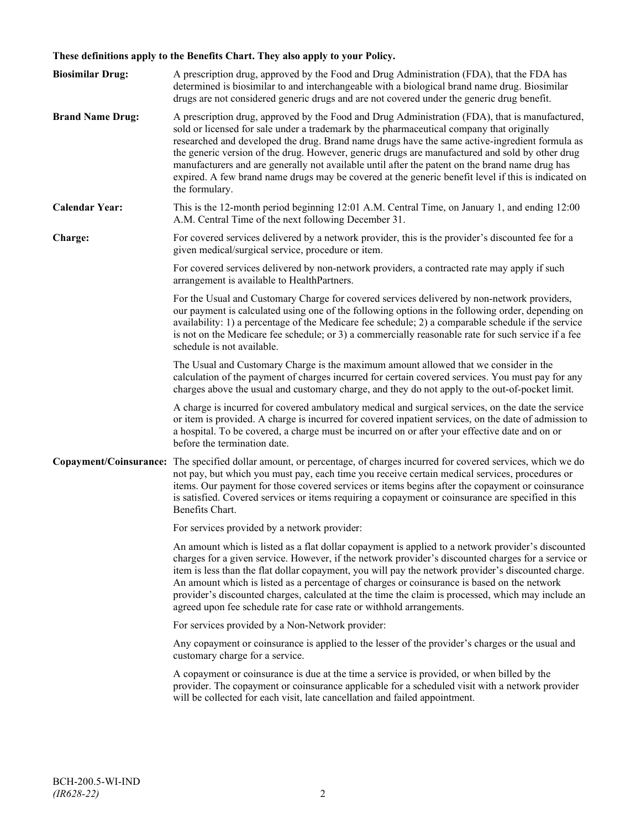## **These definitions apply to the Benefits Chart. They also apply to your Policy.**

| <b>Biosimilar Drug:</b> | A prescription drug, approved by the Food and Drug Administration (FDA), that the FDA has<br>determined is biosimilar to and interchangeable with a biological brand name drug. Biosimilar<br>drugs are not considered generic drugs and are not covered under the generic drug benefit.                                                                                                                                                                                                                                                                                                                                     |
|-------------------------|------------------------------------------------------------------------------------------------------------------------------------------------------------------------------------------------------------------------------------------------------------------------------------------------------------------------------------------------------------------------------------------------------------------------------------------------------------------------------------------------------------------------------------------------------------------------------------------------------------------------------|
| <b>Brand Name Drug:</b> | A prescription drug, approved by the Food and Drug Administration (FDA), that is manufactured,<br>sold or licensed for sale under a trademark by the pharmaceutical company that originally<br>researched and developed the drug. Brand name drugs have the same active-ingredient formula as<br>the generic version of the drug. However, generic drugs are manufactured and sold by other drug<br>manufacturers and are generally not available until after the patent on the brand name drug has<br>expired. A few brand name drugs may be covered at the generic benefit level if this is indicated on<br>the formulary. |
| <b>Calendar Year:</b>   | This is the 12-month period beginning 12:01 A.M. Central Time, on January 1, and ending 12:00<br>A.M. Central Time of the next following December 31.                                                                                                                                                                                                                                                                                                                                                                                                                                                                        |
| Charge:                 | For covered services delivered by a network provider, this is the provider's discounted fee for a<br>given medical/surgical service, procedure or item.                                                                                                                                                                                                                                                                                                                                                                                                                                                                      |
|                         | For covered services delivered by non-network providers, a contracted rate may apply if such<br>arrangement is available to HealthPartners.                                                                                                                                                                                                                                                                                                                                                                                                                                                                                  |
|                         | For the Usual and Customary Charge for covered services delivered by non-network providers,<br>our payment is calculated using one of the following options in the following order, depending on<br>availability: 1) a percentage of the Medicare fee schedule; 2) a comparable schedule if the service<br>is not on the Medicare fee schedule; or 3) a commercially reasonable rate for such service if a fee<br>schedule is not available.                                                                                                                                                                                 |
|                         | The Usual and Customary Charge is the maximum amount allowed that we consider in the<br>calculation of the payment of charges incurred for certain covered services. You must pay for any<br>charges above the usual and customary charge, and they do not apply to the out-of-pocket limit.                                                                                                                                                                                                                                                                                                                                 |
|                         | A charge is incurred for covered ambulatory medical and surgical services, on the date the service<br>or item is provided. A charge is incurred for covered inpatient services, on the date of admission to<br>a hospital. To be covered, a charge must be incurred on or after your effective date and on or<br>before the termination date.                                                                                                                                                                                                                                                                                |
|                         | Copayment/Coinsurance: The specified dollar amount, or percentage, of charges incurred for covered services, which we do<br>not pay, but which you must pay, each time you receive certain medical services, procedures or<br>items. Our payment for those covered services or items begins after the copayment or coinsurance<br>is satisfied. Covered services or items requiring a copayment or coinsurance are specified in this<br>Benefits Chart.                                                                                                                                                                      |
|                         | For services provided by a network provider:                                                                                                                                                                                                                                                                                                                                                                                                                                                                                                                                                                                 |
|                         | An amount which is listed as a flat dollar copayment is applied to a network provider's discounted<br>charges for a given service. However, if the network provider's discounted charges for a service or<br>item is less than the flat dollar copayment, you will pay the network provider's discounted charge.<br>An amount which is listed as a percentage of charges or coinsurance is based on the network<br>provider's discounted charges, calculated at the time the claim is processed, which may include an<br>agreed upon fee schedule rate for case rate or withhold arrangements.                               |
|                         | For services provided by a Non-Network provider:                                                                                                                                                                                                                                                                                                                                                                                                                                                                                                                                                                             |
|                         | Any copayment or coinsurance is applied to the lesser of the provider's charges or the usual and<br>customary charge for a service.                                                                                                                                                                                                                                                                                                                                                                                                                                                                                          |
|                         | A copayment or coinsurance is due at the time a service is provided, or when billed by the<br>provider. The copayment or coinsurance applicable for a scheduled visit with a network provider<br>will be collected for each visit, late cancellation and failed appointment.                                                                                                                                                                                                                                                                                                                                                 |
|                         |                                                                                                                                                                                                                                                                                                                                                                                                                                                                                                                                                                                                                              |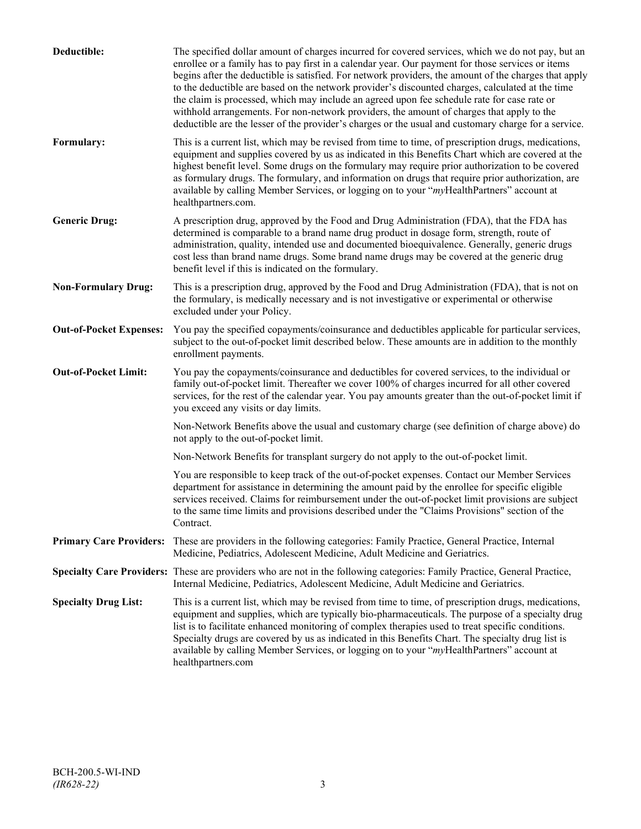| Deductible:                    | The specified dollar amount of charges incurred for covered services, which we do not pay, but an<br>enrollee or a family has to pay first in a calendar year. Our payment for those services or items<br>begins after the deductible is satisfied. For network providers, the amount of the charges that apply<br>to the deductible are based on the network provider's discounted charges, calculated at the time<br>the claim is processed, which may include an agreed upon fee schedule rate for case rate or<br>withhold arrangements. For non-network providers, the amount of charges that apply to the<br>deductible are the lesser of the provider's charges or the usual and customary charge for a service. |
|--------------------------------|-------------------------------------------------------------------------------------------------------------------------------------------------------------------------------------------------------------------------------------------------------------------------------------------------------------------------------------------------------------------------------------------------------------------------------------------------------------------------------------------------------------------------------------------------------------------------------------------------------------------------------------------------------------------------------------------------------------------------|
| Formulary:                     | This is a current list, which may be revised from time to time, of prescription drugs, medications,<br>equipment and supplies covered by us as indicated in this Benefits Chart which are covered at the<br>highest benefit level. Some drugs on the formulary may require prior authorization to be covered<br>as formulary drugs. The formulary, and information on drugs that require prior authorization, are<br>available by calling Member Services, or logging on to your "myHealthPartners" account at<br>healthpartners.com.                                                                                                                                                                                   |
| <b>Generic Drug:</b>           | A prescription drug, approved by the Food and Drug Administration (FDA), that the FDA has<br>determined is comparable to a brand name drug product in dosage form, strength, route of<br>administration, quality, intended use and documented bioequivalence. Generally, generic drugs<br>cost less than brand name drugs. Some brand name drugs may be covered at the generic drug<br>benefit level if this is indicated on the formulary.                                                                                                                                                                                                                                                                             |
| <b>Non-Formulary Drug:</b>     | This is a prescription drug, approved by the Food and Drug Administration (FDA), that is not on<br>the formulary, is medically necessary and is not investigative or experimental or otherwise<br>excluded under your Policy.                                                                                                                                                                                                                                                                                                                                                                                                                                                                                           |
| <b>Out-of-Pocket Expenses:</b> | You pay the specified copayments/coinsurance and deductibles applicable for particular services,<br>subject to the out-of-pocket limit described below. These amounts are in addition to the monthly<br>enrollment payments.                                                                                                                                                                                                                                                                                                                                                                                                                                                                                            |
| <b>Out-of-Pocket Limit:</b>    | You pay the copayments/coinsurance and deductibles for covered services, to the individual or<br>family out-of-pocket limit. Thereafter we cover 100% of charges incurred for all other covered<br>services, for the rest of the calendar year. You pay amounts greater than the out-of-pocket limit if<br>you exceed any visits or day limits.                                                                                                                                                                                                                                                                                                                                                                         |
|                                | Non-Network Benefits above the usual and customary charge (see definition of charge above) do<br>not apply to the out-of-pocket limit.                                                                                                                                                                                                                                                                                                                                                                                                                                                                                                                                                                                  |
|                                | Non-Network Benefits for transplant surgery do not apply to the out-of-pocket limit.                                                                                                                                                                                                                                                                                                                                                                                                                                                                                                                                                                                                                                    |
|                                | You are responsible to keep track of the out-of-pocket expenses. Contact our Member Services<br>department for assistance in determining the amount paid by the enrollee for specific eligible<br>services received. Claims for reimbursement under the out-of-pocket limit provisions are subject<br>to the same time limits and provisions described under the "Claims Provisions" section of the<br>Contract.                                                                                                                                                                                                                                                                                                        |
| <b>Primary Care Providers:</b> | These are providers in the following categories: Family Practice, General Practice, Internal<br>Medicine, Pediatrics, Adolescent Medicine, Adult Medicine and Geriatrics.                                                                                                                                                                                                                                                                                                                                                                                                                                                                                                                                               |
|                                | Specialty Care Providers: These are providers who are not in the following categories: Family Practice, General Practice,<br>Internal Medicine, Pediatrics, Adolescent Medicine, Adult Medicine and Geriatrics.                                                                                                                                                                                                                                                                                                                                                                                                                                                                                                         |
| <b>Specialty Drug List:</b>    | This is a current list, which may be revised from time to time, of prescription drugs, medications,<br>equipment and supplies, which are typically bio-pharmaceuticals. The purpose of a specialty drug<br>list is to facilitate enhanced monitoring of complex therapies used to treat specific conditions.<br>Specialty drugs are covered by us as indicated in this Benefits Chart. The specialty drug list is<br>available by calling Member Services, or logging on to your "myHealthPartners" account at<br>healthpartners.com                                                                                                                                                                                    |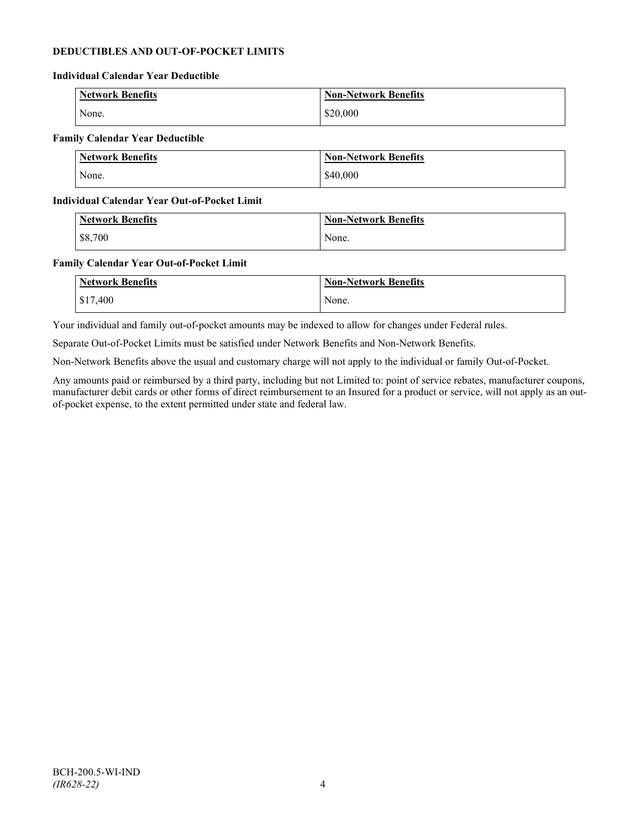## **DEDUCTIBLES AND OUT-OF-POCKET LIMITS**

#### **Individual Calendar Year Deductible**

| Network Benefits | <b>Non-Network Benefits</b> |
|------------------|-----------------------------|
| None.            | \$20,000                    |

## **Family Calendar Year Deductible**

| Network Benefits | <b>Non-Network Benefits</b> |
|------------------|-----------------------------|
| None.            | \$40,000                    |

### **Individual Calendar Year Out-of-Pocket Limit**

| <b>Network Benefits</b> | <b>Non-Network Benefits</b> |
|-------------------------|-----------------------------|
| \$8,700                 | None.                       |

### **Family Calendar Year Out-of-Pocket Limit**

| <b>Network Benefits</b> | <b>Non-Network Benefits</b> |
|-------------------------|-----------------------------|
| \$17,400                | None.                       |

Your individual and family out-of-pocket amounts may be indexed to allow for changes under Federal rules.

Separate Out-of-Pocket Limits must be satisfied under Network Benefits and Non-Network Benefits.

Non-Network Benefits above the usual and customary charge will not apply to the individual or family Out-of-Pocket.

Any amounts paid or reimbursed by a third party, including but not Limited to: point of service rebates, manufacturer coupons, manufacturer debit cards or other forms of direct reimbursement to an Insured for a product or service, will not apply as an outof-pocket expense, to the extent permitted under state and federal law.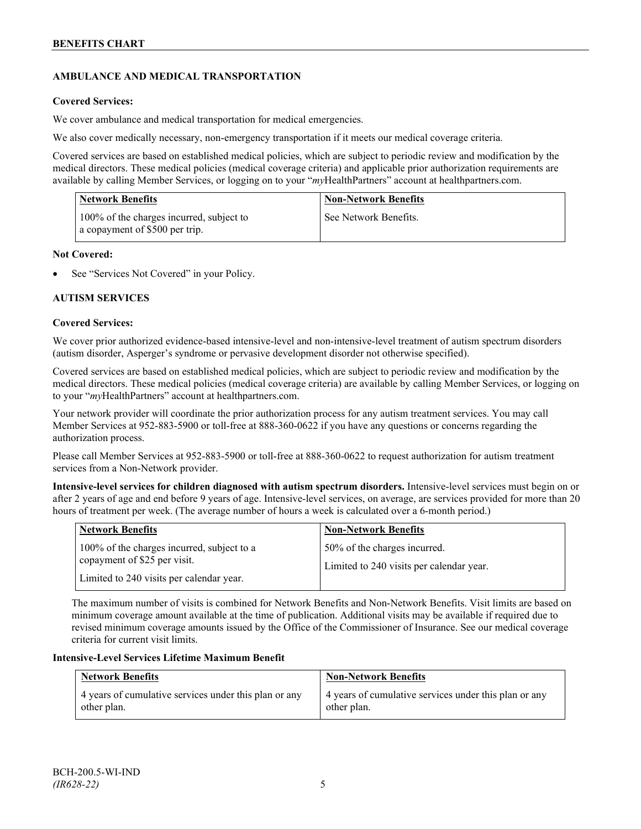## **AMBULANCE AND MEDICAL TRANSPORTATION**

## **Covered Services:**

We cover ambulance and medical transportation for medical emergencies.

We also cover medically necessary, non-emergency transportation if it meets our medical coverage criteria.

Covered services are based on established medical policies, which are subject to periodic review and modification by the medical directors. These medical policies (medical coverage criteria) and applicable prior authorization requirements are available by calling Member Services, or logging on to your "*my*HealthPartners" account a[t healthpartners.com.](http://www.healthpartners.com/)

| <b>Network Benefits</b>                                                    | <b>Non-Network Benefits</b> |
|----------------------------------------------------------------------------|-----------------------------|
| 100% of the charges incurred, subject to<br>a copayment of \$500 per trip. | See Network Benefits.       |

## **Not Covered:**

See "Services Not Covered" in your Policy.

## **AUTISM SERVICES**

## **Covered Services:**

We cover prior authorized evidence-based intensive-level and non-intensive-level treatment of autism spectrum disorders (autism disorder, Asperger's syndrome or pervasive development disorder not otherwise specified).

Covered services are based on established medical policies, which are subject to periodic review and modification by the medical directors. These medical policies (medical coverage criteria) are available by calling Member Services, or logging on to your "*my*HealthPartners" account at [healthpartners.com.](http://www.healthpartners.com/)

Your network provider will coordinate the prior authorization process for any autism treatment services. You may call Member Services at 952-883-5900 or toll-free at 888-360-0622 if you have any questions or concerns regarding the authorization process.

Please call Member Services at 952-883-5900 or toll-free at 888-360-0622 to request authorization for autism treatment services from a Non-Network provider.

**Intensive-level services for children diagnosed with autism spectrum disorders.** Intensive-level services must begin on or after 2 years of age and end before 9 years of age. Intensive-level services, on average, are services provided for more than 20 hours of treatment per week. (The average number of hours a week is calculated over a 6-month period.)

| <b>Network Benefits</b>                                                                                                | <b>Non-Network Benefits</b>                                              |
|------------------------------------------------------------------------------------------------------------------------|--------------------------------------------------------------------------|
| 100% of the charges incurred, subject to a<br>copayment of \$25 per visit.<br>Limited to 240 visits per calendar year. | 50% of the charges incurred.<br>Limited to 240 visits per calendar year. |

The maximum number of visits is combined for Network Benefits and Non-Network Benefits. Visit limits are based on minimum coverage amount available at the time of publication. Additional visits may be available if required due to revised minimum coverage amounts issued by the Office of the Commissioner of Insurance. See our medical coverage criteria for current visit limits.

## **Intensive-Level Services Lifetime Maximum Benefit**

| <b>Network Benefits</b>                               | <b>Non-Network Benefits</b>                           |
|-------------------------------------------------------|-------------------------------------------------------|
| 4 years of cumulative services under this plan or any | 4 years of cumulative services under this plan or any |
| other plan.                                           | other plan.                                           |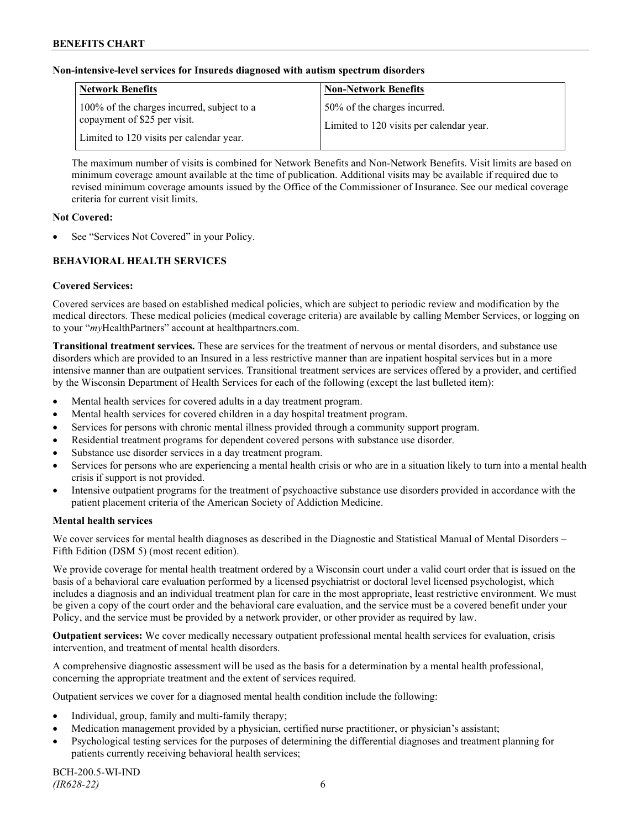## **Non-intensive-level services for Insureds diagnosed with autism spectrum disorders**

| <b>Network Benefits</b>                                                                                                | <b>Non-Network Benefits</b>                                              |
|------------------------------------------------------------------------------------------------------------------------|--------------------------------------------------------------------------|
| 100% of the charges incurred, subject to a<br>copayment of \$25 per visit.<br>Limited to 120 visits per calendar year. | 50% of the charges incurred.<br>Limited to 120 visits per calendar year. |

The maximum number of visits is combined for Network Benefits and Non-Network Benefits. Visit limits are based on minimum coverage amount available at the time of publication. Additional visits may be available if required due to revised minimum coverage amounts issued by the Office of the Commissioner of Insurance. See our medical coverage criteria for current visit limits.

## **Not Covered:**

See "Services Not Covered" in your Policy.

## **BEHAVIORAL HEALTH SERVICES**

## **Covered Services:**

Covered services are based on established medical policies, which are subject to periodic review and modification by the medical directors. These medical policies (medical coverage criteria) are available by calling Member Services, or logging on to your "*my*HealthPartners" account at [healthpartners.com.](http://www.healthpartners.com/)

**Transitional treatment services.** These are services for the treatment of nervous or mental disorders, and substance use disorders which are provided to an Insured in a less restrictive manner than are inpatient hospital services but in a more intensive manner than are outpatient services. Transitional treatment services are services offered by a provider, and certified by the Wisconsin Department of Health Services for each of the following (except the last bulleted item):

- Mental health services for covered adults in a day treatment program.
- Mental health services for covered children in a day hospital treatment program.
- Services for persons with chronic mental illness provided through a community support program.
- Residential treatment programs for dependent covered persons with substance use disorder.
- Substance use disorder services in a day treatment program.
- Services for persons who are experiencing a mental health crisis or who are in a situation likely to turn into a mental health crisis if support is not provided.
- Intensive outpatient programs for the treatment of psychoactive substance use disorders provided in accordance with the patient placement criteria of the American Society of Addiction Medicine.

## **Mental health services**

We cover services for mental health diagnoses as described in the Diagnostic and Statistical Manual of Mental Disorders – Fifth Edition (DSM 5) (most recent edition).

We provide coverage for mental health treatment ordered by a Wisconsin court under a valid court order that is issued on the basis of a behavioral care evaluation performed by a licensed psychiatrist or doctoral level licensed psychologist, which includes a diagnosis and an individual treatment plan for care in the most appropriate, least restrictive environment. We must be given a copy of the court order and the behavioral care evaluation, and the service must be a covered benefit under your Policy, and the service must be provided by a network provider, or other provider as required by law.

**Outpatient services:** We cover medically necessary outpatient professional mental health services for evaluation, crisis intervention, and treatment of mental health disorders.

A comprehensive diagnostic assessment will be used as the basis for a determination by a mental health professional, concerning the appropriate treatment and the extent of services required.

Outpatient services we cover for a diagnosed mental health condition include the following:

- Individual, group, family and multi-family therapy;
- Medication management provided by a physician, certified nurse practitioner, or physician's assistant;
- Psychological testing services for the purposes of determining the differential diagnoses and treatment planning for patients currently receiving behavioral health services;

BCH-200.5-WI-IND *(IR628-22)* 6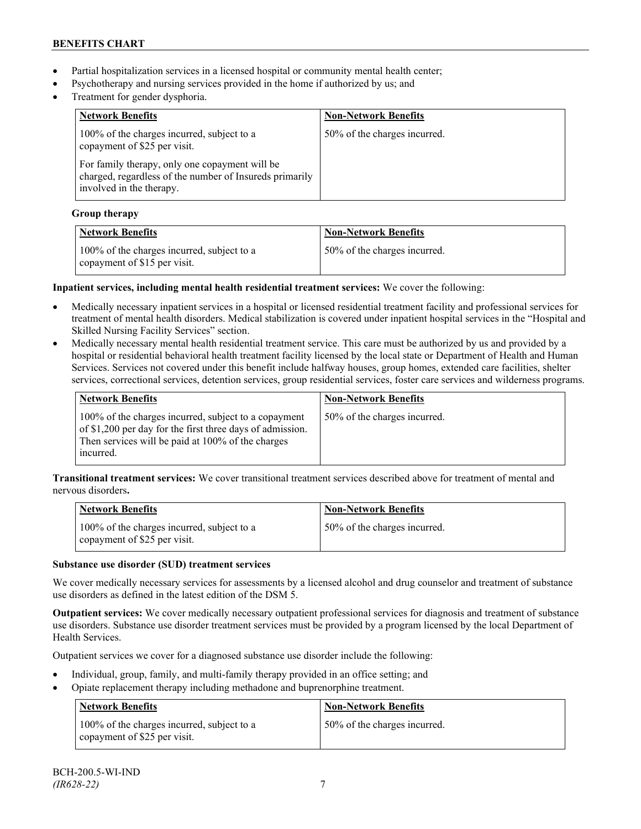- Partial hospitalization services in a licensed hospital or community mental health center;
- Psychotherapy and nursing services provided in the home if authorized by us; and
- Treatment for gender dysphoria.

| <b>Network Benefits</b>                                                                                                               | <b>Non-Network Benefits</b>  |
|---------------------------------------------------------------------------------------------------------------------------------------|------------------------------|
| 100% of the charges incurred, subject to a<br>copayment of \$25 per visit.                                                            | 50% of the charges incurred. |
| For family therapy, only one copayment will be<br>charged, regardless of the number of Insureds primarily<br>involved in the therapy. |                              |

## **Group therapy**

| <b>Network Benefits</b>                                                    | <b>Non-Network Benefits</b>  |
|----------------------------------------------------------------------------|------------------------------|
| 100% of the charges incurred, subject to a<br>copayment of \$15 per visit. | 50% of the charges incurred. |

## **Inpatient services, including mental health residential treatment services:** We cover the following:

- Medically necessary inpatient services in a hospital or licensed residential treatment facility and professional services for treatment of mental health disorders. Medical stabilization is covered under inpatient hospital services in the "Hospital and Skilled Nursing Facility Services" section.
- Medically necessary mental health residential treatment service. This care must be authorized by us and provided by a hospital or residential behavioral health treatment facility licensed by the local state or Department of Health and Human Services. Services not covered under this benefit include halfway houses, group homes, extended care facilities, shelter services, correctional services, detention services, group residential services, foster care services and wilderness programs.

| Network Benefits                                                                                                                                                                    | <b>Non-Network Benefits</b>  |
|-------------------------------------------------------------------------------------------------------------------------------------------------------------------------------------|------------------------------|
| 100% of the charges incurred, subject to a copayment<br>of \$1,200 per day for the first three days of admission.<br>Then services will be paid at 100% of the charges<br>incurred. | 50% of the charges incurred. |

**Transitional treatment services:** We cover transitional treatment services described above for treatment of mental and nervous disorders**.**

| <b>Network Benefits</b>                                                    | <b>Non-Network Benefits</b>  |
|----------------------------------------------------------------------------|------------------------------|
| 100% of the charges incurred, subject to a<br>copayment of \$25 per visit. | 50% of the charges incurred. |

## **Substance use disorder (SUD) treatment services**

We cover medically necessary services for assessments by a licensed alcohol and drug counselor and treatment of substance use disorders as defined in the latest edition of the DSM 5.

**Outpatient services:** We cover medically necessary outpatient professional services for diagnosis and treatment of substance use disorders. Substance use disorder treatment services must be provided by a program licensed by the local Department of Health Services.

Outpatient services we cover for a diagnosed substance use disorder include the following:

- Individual, group, family, and multi-family therapy provided in an office setting; and
- Opiate replacement therapy including methadone and buprenorphine treatment.

| <b>Network Benefits</b>                                                    | <b>Non-Network Benefits</b>  |
|----------------------------------------------------------------------------|------------------------------|
| 100% of the charges incurred, subject to a<br>copayment of \$25 per visit. | 50% of the charges incurred. |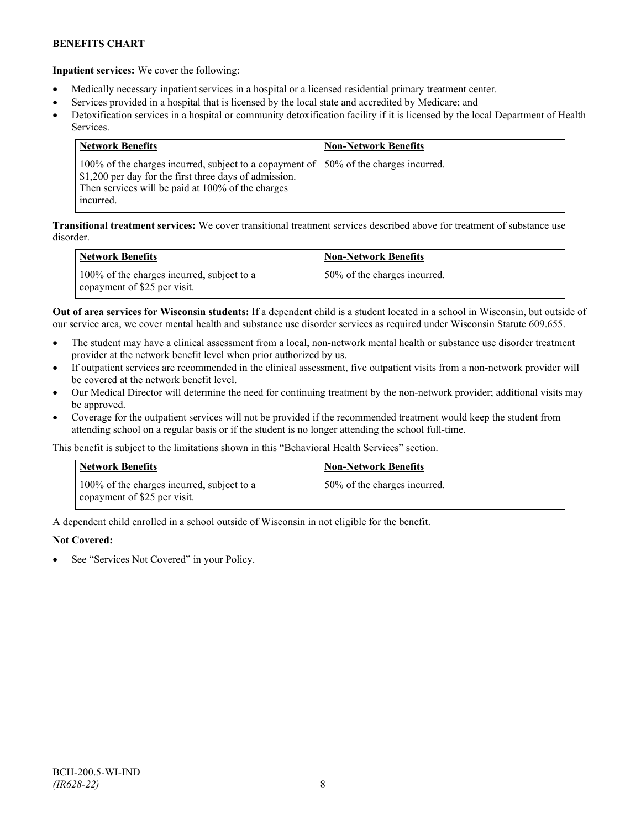**Inpatient services:** We cover the following:

- Medically necessary inpatient services in a hospital or a licensed residential primary treatment center.
- Services provided in a hospital that is licensed by the local state and accredited by Medicare; and
- Detoxification services in a hospital or community detoxification facility if it is licensed by the local Department of Health Services.

| <b>Network Benefits</b>                                                                                                                                                                                            | <b>Non-Network Benefits</b> |
|--------------------------------------------------------------------------------------------------------------------------------------------------------------------------------------------------------------------|-----------------------------|
| 100% of the charges incurred, subject to a copayment of   50% of the charges incurred.<br>\$1,200 per day for the first three days of admission.<br>Then services will be paid at 100% of the charges<br>incurred. |                             |

**Transitional treatment services:** We cover transitional treatment services described above for treatment of substance use disorder.

| <b>Network Benefits</b>                                                    | <b>Non-Network Benefits</b>  |
|----------------------------------------------------------------------------|------------------------------|
| 100% of the charges incurred, subject to a<br>copayment of \$25 per visit. | 50% of the charges incurred. |

**Out of area services for Wisconsin students:** If a dependent child is a student located in a school in Wisconsin, but outside of our service area, we cover mental health and substance use disorder services as required under Wisconsin Statute 609.655.

- The student may have a clinical assessment from a local, non-network mental health or substance use disorder treatment provider at the network benefit level when prior authorized by us.
- If outpatient services are recommended in the clinical assessment, five outpatient visits from a non-network provider will be covered at the network benefit level.
- Our Medical Director will determine the need for continuing treatment by the non-network provider; additional visits may be approved.
- Coverage for the outpatient services will not be provided if the recommended treatment would keep the student from attending school on a regular basis or if the student is no longer attending the school full-time.

This benefit is subject to the limitations shown in this "Behavioral Health Services" section.

| <b>Network Benefits</b>                                                    | <b>Non-Network Benefits</b>  |
|----------------------------------------------------------------------------|------------------------------|
| 100% of the charges incurred, subject to a<br>copayment of \$25 per visit. | 50% of the charges incurred. |

A dependent child enrolled in a school outside of Wisconsin in not eligible for the benefit.

## **Not Covered:**

See "Services Not Covered" in your Policy.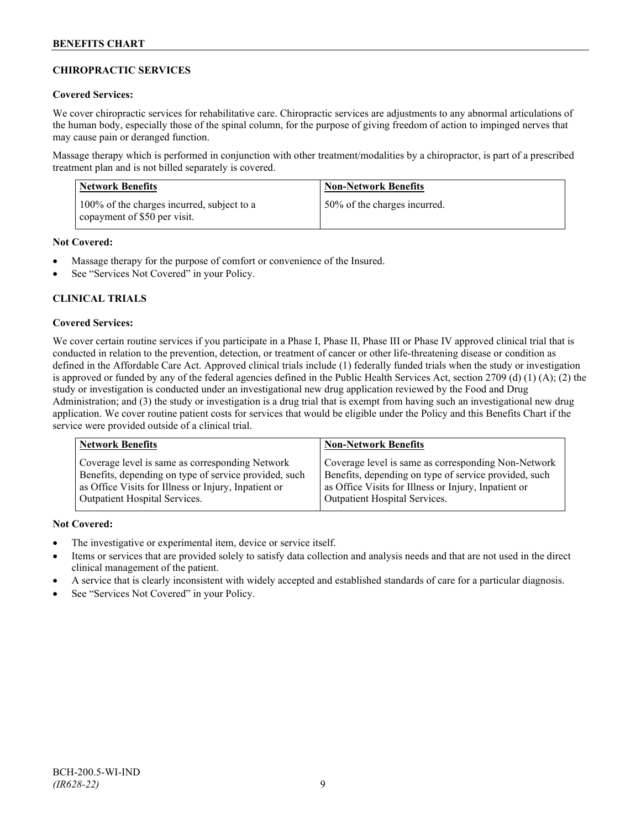## **CHIROPRACTIC SERVICES**

## **Covered Services:**

We cover chiropractic services for rehabilitative care. Chiropractic services are adjustments to any abnormal articulations of the human body, especially those of the spinal column, for the purpose of giving freedom of action to impinged nerves that may cause pain or deranged function.

Massage therapy which is performed in conjunction with other treatment/modalities by a chiropractor, is part of a prescribed treatment plan and is not billed separately is covered.

| Network Benefits                                                           | <b>Non-Network Benefits</b>  |
|----------------------------------------------------------------------------|------------------------------|
| 100% of the charges incurred, subject to a<br>copayment of \$50 per visit. | 50% of the charges incurred. |

## **Not Covered:**

- Massage therapy for the purpose of comfort or convenience of the Insured.
- See "Services Not Covered" in your Policy.

## **CLINICAL TRIALS**

### **Covered Services:**

We cover certain routine services if you participate in a Phase I, Phase II, Phase III or Phase IV approved clinical trial that is conducted in relation to the prevention, detection, or treatment of cancer or other life-threatening disease or condition as defined in the Affordable Care Act. Approved clinical trials include (1) federally funded trials when the study or investigation is approved or funded by any of the federal agencies defined in the Public Health Services Act, section 2709 (d) (1) (A); (2) the study or investigation is conducted under an investigational new drug application reviewed by the Food and Drug Administration; and (3) the study or investigation is a drug trial that is exempt from having such an investigational new drug application. We cover routine patient costs for services that would be eligible under the Policy and this Benefits Chart if the service were provided outside of a clinical trial.

| <b>Network Benefits</b>                               | <b>Non-Network Benefits</b>                           |
|-------------------------------------------------------|-------------------------------------------------------|
| Coverage level is same as corresponding Network       | Coverage level is same as corresponding Non-Network   |
| Benefits, depending on type of service provided, such | Benefits, depending on type of service provided, such |
| as Office Visits for Illness or Injury, Inpatient or  | as Office Visits for Illness or Injury, Inpatient or  |
| Outpatient Hospital Services.                         | Outpatient Hospital Services.                         |

## **Not Covered:**

- The investigative or experimental item, device or service itself.
- Items or services that are provided solely to satisfy data collection and analysis needs and that are not used in the direct clinical management of the patient.
- A service that is clearly inconsistent with widely accepted and established standards of care for a particular diagnosis.
- See "Services Not Covered" in your Policy.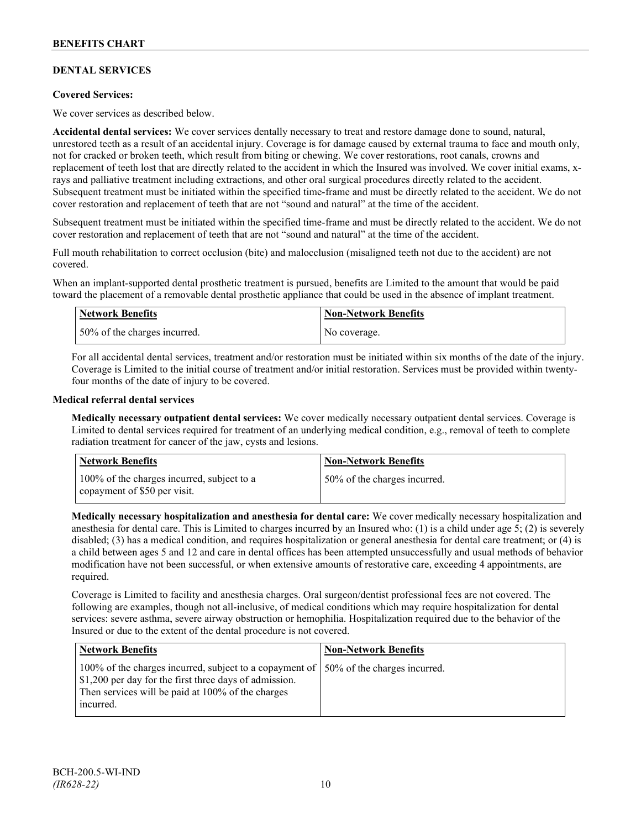## **DENTAL SERVICES**

## **Covered Services:**

We cover services as described below.

**Accidental dental services:** We cover services dentally necessary to treat and restore damage done to sound, natural, unrestored teeth as a result of an accidental injury. Coverage is for damage caused by external trauma to face and mouth only, not for cracked or broken teeth, which result from biting or chewing. We cover restorations, root canals, crowns and replacement of teeth lost that are directly related to the accident in which the Insured was involved. We cover initial exams, xrays and palliative treatment including extractions, and other oral surgical procedures directly related to the accident. Subsequent treatment must be initiated within the specified time-frame and must be directly related to the accident. We do not cover restoration and replacement of teeth that are not "sound and natural" at the time of the accident.

Subsequent treatment must be initiated within the specified time-frame and must be directly related to the accident. We do not cover restoration and replacement of teeth that are not "sound and natural" at the time of the accident.

Full mouth rehabilitation to correct occlusion (bite) and malocclusion (misaligned teeth not due to the accident) are not covered.

When an implant-supported dental prosthetic treatment is pursued, benefits are Limited to the amount that would be paid toward the placement of a removable dental prosthetic appliance that could be used in the absence of implant treatment.

| <b>Network Benefits</b>      | <b>Non-Network Benefits</b> |
|------------------------------|-----------------------------|
| 50% of the charges incurred. | No coverage.                |

For all accidental dental services, treatment and/or restoration must be initiated within six months of the date of the injury. Coverage is Limited to the initial course of treatment and/or initial restoration. Services must be provided within twentyfour months of the date of injury to be covered.

### **Medical referral dental services**

**Medically necessary outpatient dental services:** We cover medically necessary outpatient dental services. Coverage is Limited to dental services required for treatment of an underlying medical condition, e.g., removal of teeth to complete radiation treatment for cancer of the jaw, cysts and lesions.

| Network Benefits                                                           | <b>Non-Network Benefits</b>  |
|----------------------------------------------------------------------------|------------------------------|
| 100% of the charges incurred, subject to a<br>copayment of \$50 per visit. | 50% of the charges incurred. |

**Medically necessary hospitalization and anesthesia for dental care:** We cover medically necessary hospitalization and anesthesia for dental care. This is Limited to charges incurred by an Insured who: (1) is a child under age 5; (2) is severely disabled; (3) has a medical condition, and requires hospitalization or general anesthesia for dental care treatment; or (4) is a child between ages 5 and 12 and care in dental offices has been attempted unsuccessfully and usual methods of behavior modification have not been successful, or when extensive amounts of restorative care, exceeding 4 appointments, are required.

Coverage is Limited to facility and anesthesia charges. Oral surgeon/dentist professional fees are not covered. The following are examples, though not all-inclusive, of medical conditions which may require hospitalization for dental services: severe asthma, severe airway obstruction or hemophilia. Hospitalization required due to the behavior of the Insured or due to the extent of the dental procedure is not covered.

| <b>Network Benefits</b>                                                                                                                                                                                            | <b>Non-Network Benefits</b> |
|--------------------------------------------------------------------------------------------------------------------------------------------------------------------------------------------------------------------|-----------------------------|
| 100% of the charges incurred, subject to a copayment of   50% of the charges incurred.<br>\$1,200 per day for the first three days of admission.<br>Then services will be paid at 100% of the charges<br>incurred. |                             |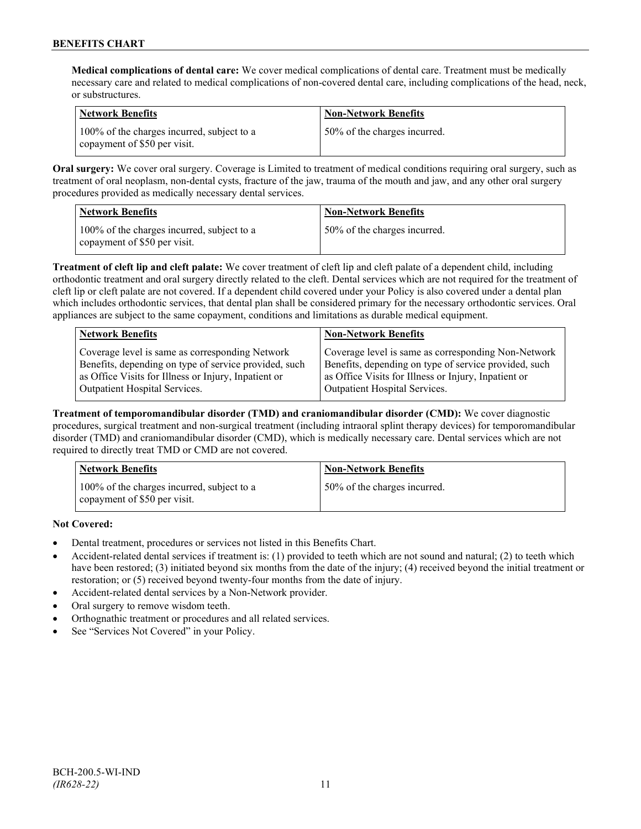**Medical complications of dental care:** We cover medical complications of dental care. Treatment must be medically necessary care and related to medical complications of non-covered dental care, including complications of the head, neck, or substructures.

| Network Benefits                                                           | <b>Non-Network Benefits</b>  |
|----------------------------------------------------------------------------|------------------------------|
| 100% of the charges incurred, subject to a<br>copayment of \$50 per visit. | 50% of the charges incurred. |

**Oral surgery:** We cover oral surgery. Coverage is Limited to treatment of medical conditions requiring oral surgery, such as treatment of oral neoplasm, non-dental cysts, fracture of the jaw, trauma of the mouth and jaw, and any other oral surgery procedures provided as medically necessary dental services.

| <b>Network Benefits</b>                                                    | <b>Non-Network Benefits</b>  |
|----------------------------------------------------------------------------|------------------------------|
| 100% of the charges incurred, subject to a<br>copayment of \$50 per visit. | 50% of the charges incurred. |

**Treatment of cleft lip and cleft palate:** We cover treatment of cleft lip and cleft palate of a dependent child, including orthodontic treatment and oral surgery directly related to the cleft. Dental services which are not required for the treatment of cleft lip or cleft palate are not covered. If a dependent child covered under your Policy is also covered under a dental plan which includes orthodontic services, that dental plan shall be considered primary for the necessary orthodontic services. Oral appliances are subject to the same copayment, conditions and limitations as durable medical equipment.

| <b>Network Benefits</b>                               | <b>Non-Network Benefits</b>                           |
|-------------------------------------------------------|-------------------------------------------------------|
| Coverage level is same as corresponding Network       | Coverage level is same as corresponding Non-Network   |
| Benefits, depending on type of service provided, such | Benefits, depending on type of service provided, such |
| as Office Visits for Illness or Injury, Inpatient or  | as Office Visits for Illness or Injury, Inpatient or  |
| Outpatient Hospital Services.                         | Outpatient Hospital Services.                         |

**Treatment of temporomandibular disorder (TMD) and craniomandibular disorder (CMD):** We cover diagnostic procedures, surgical treatment and non-surgical treatment (including intraoral splint therapy devices) for temporomandibular disorder (TMD) and craniomandibular disorder (CMD), which is medically necessary care. Dental services which are not required to directly treat TMD or CMD are not covered.

| <b>Network Benefits</b>                                                    | <b>Non-Network Benefits</b>  |
|----------------------------------------------------------------------------|------------------------------|
| 100% of the charges incurred, subject to a<br>copayment of \$50 per visit. | 50% of the charges incurred. |

**Not Covered:**

- Dental treatment, procedures or services not listed in this Benefits Chart.
- Accident-related dental services if treatment is: (1) provided to teeth which are not sound and natural; (2) to teeth which have been restored; (3) initiated beyond six months from the date of the injury; (4) received beyond the initial treatment or restoration; or (5) received beyond twenty-four months from the date of injury.
- Accident-related dental services by a Non-Network provider.
- Oral surgery to remove wisdom teeth.
- Orthognathic treatment or procedures and all related services.
- See "Services Not Covered" in your Policy.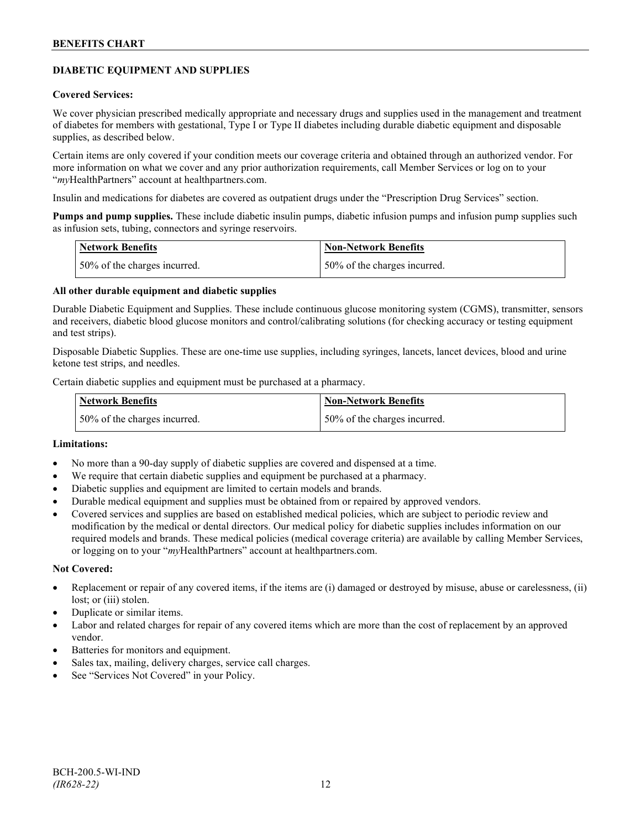## **DIABETIC EQUIPMENT AND SUPPLIES**

### **Covered Services:**

We cover physician prescribed medically appropriate and necessary drugs and supplies used in the management and treatment of diabetes for members with gestational, Type I or Type II diabetes including durable diabetic equipment and disposable supplies, as described below.

Certain items are only covered if your condition meets our coverage criteria and obtained through an authorized vendor. For more information on what we cover and any prior authorization requirements, call Member Services or log on to your "*my*HealthPartners" account at [healthpartners.com.](http://www.healthpartners.com/)

Insulin and medications for diabetes are covered as outpatient drugs under the "Prescription Drug Services" section.

**Pumps and pump supplies.** These include diabetic insulin pumps, diabetic infusion pumps and infusion pump supplies such as infusion sets, tubing, connectors and syringe reservoirs.

| <b>Network Benefits</b>      | <b>Non-Network Benefits</b>  |
|------------------------------|------------------------------|
| 50% of the charges incurred. | 50% of the charges incurred. |

## **All other durable equipment and diabetic supplies**

Durable Diabetic Equipment and Supplies. These include continuous glucose monitoring system (CGMS), transmitter, sensors and receivers, diabetic blood glucose monitors and control/calibrating solutions (for checking accuracy or testing equipment and test strips).

Disposable Diabetic Supplies. These are one-time use supplies, including syringes, lancets, lancet devices, blood and urine ketone test strips, and needles.

Certain diabetic supplies and equipment must be purchased at a pharmacy.

| <b>Network Benefits</b>      | <b>Non-Network Benefits</b>  |
|------------------------------|------------------------------|
| 50% of the charges incurred. | 50% of the charges incurred. |

## **Limitations:**

- No more than a 90-day supply of diabetic supplies are covered and dispensed at a time.
- We require that certain diabetic supplies and equipment be purchased at a pharmacy.
- Diabetic supplies and equipment are limited to certain models and brands.
- Durable medical equipment and supplies must be obtained from or repaired by approved vendors.
- Covered services and supplies are based on established medical policies, which are subject to periodic review and modification by the medical or dental directors. Our medical policy for diabetic supplies includes information on our required models and brands. These medical policies (medical coverage criteria) are available by calling Member Services, or logging on to your "*my*HealthPartners" account at healthpartners.com.

#### **Not Covered:**

- Replacement or repair of any covered items, if the items are (i) damaged or destroyed by misuse, abuse or carelessness, (ii) lost; or (iii) stolen.
- Duplicate or similar items.
- Labor and related charges for repair of any covered items which are more than the cost of replacement by an approved vendor.
- Batteries for monitors and equipment.
- Sales tax, mailing, delivery charges, service call charges.
- See "Services Not Covered" in your Policy.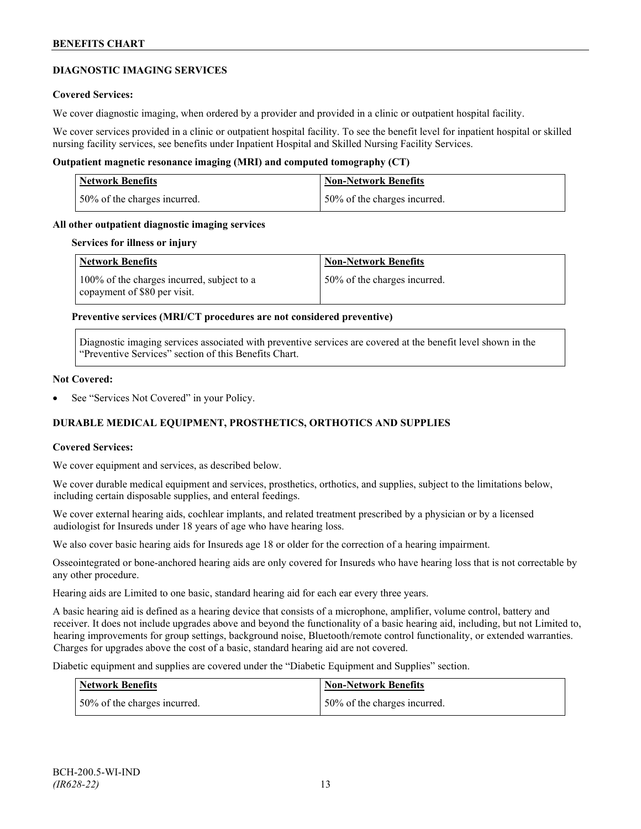## **DIAGNOSTIC IMAGING SERVICES**

## **Covered Services:**

We cover diagnostic imaging, when ordered by a provider and provided in a clinic or outpatient hospital facility.

We cover services provided in a clinic or outpatient hospital facility. To see the benefit level for inpatient hospital or skilled nursing facility services, see benefits under Inpatient Hospital and Skilled Nursing Facility Services.

## **Outpatient magnetic resonance imaging (MRI) and computed tomography (CT)**

| Network Benefits             | Non-Network Benefits         |
|------------------------------|------------------------------|
| 50% of the charges incurred. | 50% of the charges incurred. |

### **All other outpatient diagnostic imaging services**

#### **Services for illness or injury**

| <b>Network Benefits</b>                                                    | <b>Non-Network Benefits</b>  |
|----------------------------------------------------------------------------|------------------------------|
| 100% of the charges incurred, subject to a<br>copayment of \$80 per visit. | 50% of the charges incurred. |

### **Preventive services (MRI/CT procedures are not considered preventive)**

Diagnostic imaging services associated with preventive services are covered at the benefit level shown in the "Preventive Services" section of this Benefits Chart.

#### **Not Covered:**

See "Services Not Covered" in your Policy.

## **DURABLE MEDICAL EQUIPMENT, PROSTHETICS, ORTHOTICS AND SUPPLIES**

#### **Covered Services:**

We cover equipment and services, as described below.

We cover durable medical equipment and services, prosthetics, orthotics, and supplies, subject to the limitations below, including certain disposable supplies, and enteral feedings.

We cover external hearing aids, cochlear implants, and related treatment prescribed by a physician or by a licensed audiologist for Insureds under 18 years of age who have hearing loss.

We also cover basic hearing aids for Insureds age 18 or older for the correction of a hearing impairment.

Osseointegrated or bone-anchored hearing aids are only covered for Insureds who have hearing loss that is not correctable by any other procedure.

Hearing aids are Limited to one basic, standard hearing aid for each ear every three years.

A basic hearing aid is defined as a hearing device that consists of a microphone, amplifier, volume control, battery and receiver. It does not include upgrades above and beyond the functionality of a basic hearing aid, including, but not Limited to, hearing improvements for group settings, background noise, Bluetooth/remote control functionality, or extended warranties. Charges for upgrades above the cost of a basic, standard hearing aid are not covered.

Diabetic equipment and supplies are covered under the "Diabetic Equipment and Supplies" section.

| <b>Network Benefits</b>      | <b>Non-Network Benefits</b>  |
|------------------------------|------------------------------|
| 50% of the charges incurred. | 50% of the charges incurred. |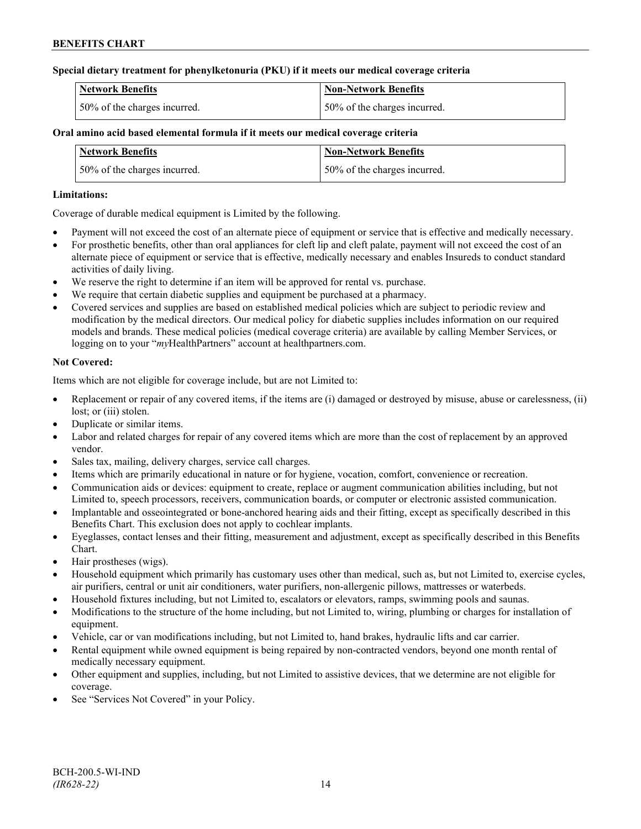## **Special dietary treatment for phenylketonuria (PKU) if it meets our medical coverage criteria**

| <b>Network Benefits</b>       | Non-Network Benefits         |
|-------------------------------|------------------------------|
| 150% of the charges incurred. | 50% of the charges incurred. |

## **Oral amino acid based elemental formula if it meets our medical coverage criteria**

| <b>Network Benefits</b>      | <b>Non-Network Benefits</b>  |
|------------------------------|------------------------------|
| 50% of the charges incurred. | 50% of the charges incurred. |

## **Limitations:**

Coverage of durable medical equipment is Limited by the following.

- Payment will not exceed the cost of an alternate piece of equipment or service that is effective and medically necessary.
- For prosthetic benefits, other than oral appliances for cleft lip and cleft palate, payment will not exceed the cost of an alternate piece of equipment or service that is effective, medically necessary and enables Insureds to conduct standard activities of daily living.
- We reserve the right to determine if an item will be approved for rental vs. purchase.
- We require that certain diabetic supplies and equipment be purchased at a pharmacy.
- Covered services and supplies are based on established medical policies which are subject to periodic review and modification by the medical directors. Our medical policy for diabetic supplies includes information on our required models and brands. These medical policies (medical coverage criteria) are available by calling Member Services, or logging on to your "*my*HealthPartners" account at [healthpartners.com.](http://www.healthpartners.com/)

## **Not Covered:**

Items which are not eligible for coverage include, but are not Limited to:

- Replacement or repair of any covered items, if the items are (i) damaged or destroyed by misuse, abuse or carelessness, (ii) lost; or *(iii)* stolen.
- Duplicate or similar items.
- Labor and related charges for repair of any covered items which are more than the cost of replacement by an approved vendor.
- Sales tax, mailing, delivery charges, service call charges.
- Items which are primarily educational in nature or for hygiene, vocation, comfort, convenience or recreation.
- Communication aids or devices: equipment to create, replace or augment communication abilities including, but not Limited to, speech processors, receivers, communication boards, or computer or electronic assisted communication.
- Implantable and osseointegrated or bone-anchored hearing aids and their fitting, except as specifically described in this Benefits Chart. This exclusion does not apply to cochlear implants.
- Eyeglasses, contact lenses and their fitting, measurement and adjustment, except as specifically described in this Benefits Chart.
- Hair prostheses (wigs).
- Household equipment which primarily has customary uses other than medical, such as, but not Limited to, exercise cycles, air purifiers, central or unit air conditioners, water purifiers, non-allergenic pillows, mattresses or waterbeds.
- Household fixtures including, but not Limited to, escalators or elevators, ramps, swimming pools and saunas.
- Modifications to the structure of the home including, but not Limited to, wiring, plumbing or charges for installation of equipment.
- Vehicle, car or van modifications including, but not Limited to, hand brakes, hydraulic lifts and car carrier.
- Rental equipment while owned equipment is being repaired by non-contracted vendors, beyond one month rental of medically necessary equipment.
- Other equipment and supplies, including, but not Limited to assistive devices, that we determine are not eligible for coverage.
- See "Services Not Covered" in your Policy.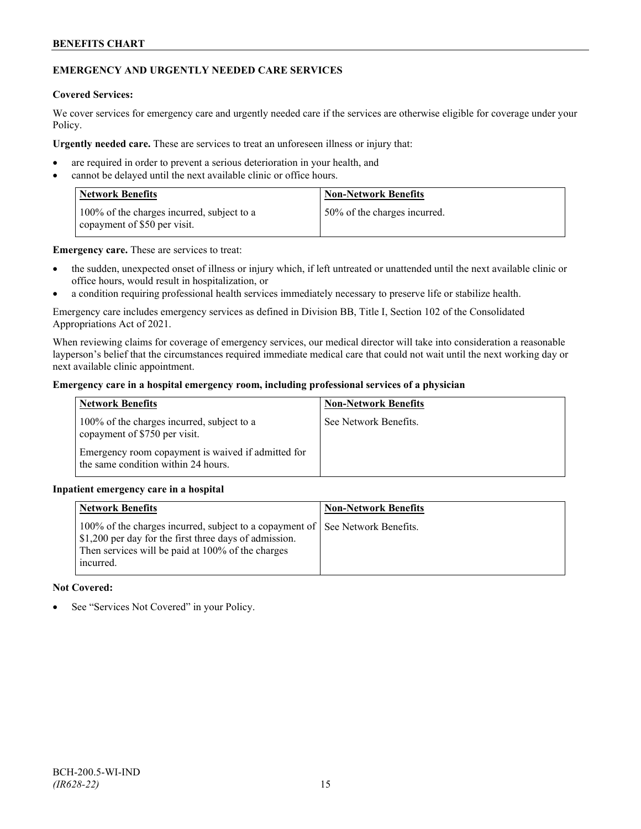## **EMERGENCY AND URGENTLY NEEDED CARE SERVICES**

### **Covered Services:**

We cover services for emergency care and urgently needed care if the services are otherwise eligible for coverage under your Policy.

**Urgently needed care.** These are services to treat an unforeseen illness or injury that:

- are required in order to prevent a serious deterioration in your health, and
- cannot be delayed until the next available clinic or office hours.

| <b>Network Benefits</b>                                                    | <b>Non-Network Benefits</b>  |
|----------------------------------------------------------------------------|------------------------------|
| 100% of the charges incurred, subject to a<br>copayment of \$50 per visit. | 50% of the charges incurred. |

**Emergency care.** These are services to treat:

- the sudden, unexpected onset of illness or injury which, if left untreated or unattended until the next available clinic or office hours, would result in hospitalization, or
- a condition requiring professional health services immediately necessary to preserve life or stabilize health.

Emergency care includes emergency services as defined in Division BB, Title I, Section 102 of the Consolidated Appropriations Act of 2021.

When reviewing claims for coverage of emergency services, our medical director will take into consideration a reasonable layperson's belief that the circumstances required immediate medical care that could not wait until the next working day or next available clinic appointment.

## **Emergency care in a hospital emergency room, including professional services of a physician**

| <b>Network Benefits</b>                                                                   | <b>Non-Network Benefits</b> |
|-------------------------------------------------------------------------------------------|-----------------------------|
| 100% of the charges incurred, subject to a<br>copayment of \$750 per visit.               | See Network Benefits.       |
| Emergency room copayment is waived if admitted for<br>the same condition within 24 hours. |                             |

## **Inpatient emergency care in a hospital**

| <b>Network Benefits</b>                                                                                                                                                               | <b>Non-Network Benefits</b> |
|---------------------------------------------------------------------------------------------------------------------------------------------------------------------------------------|-----------------------------|
| 100% of the charges incurred, subject to a copayment of  <br>\$1,200 per day for the first three days of admission.<br>Then services will be paid at 100% of the charges<br>incurred. | See Network Benefits.       |

## **Not Covered:**

See "Services Not Covered" in your Policy.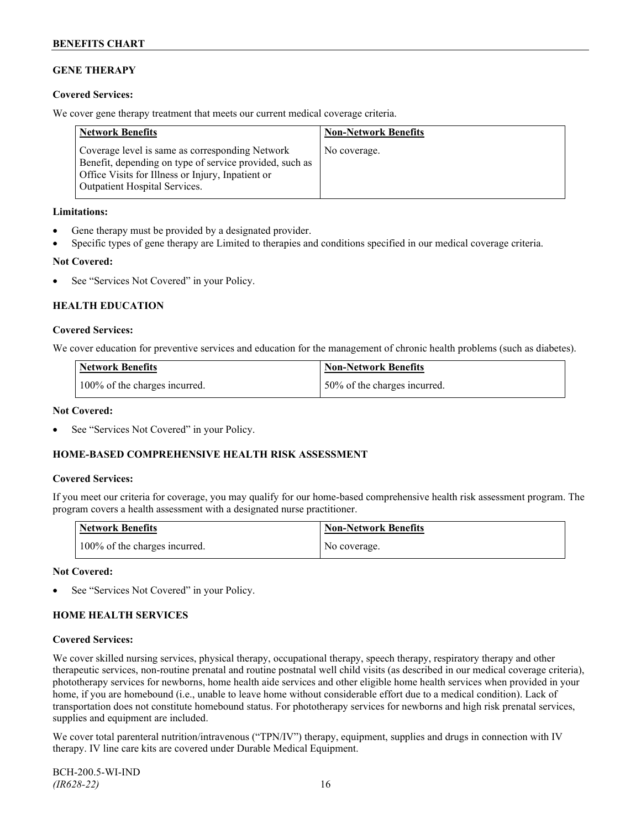## **GENE THERAPY**

## **Covered Services:**

We cover gene therapy treatment that meets our current medical coverage criteria.

| <b>Network Benefits</b>                                                                                                                                                                                 | <b>Non-Network Benefits</b> |
|---------------------------------------------------------------------------------------------------------------------------------------------------------------------------------------------------------|-----------------------------|
| Coverage level is same as corresponding Network<br>Benefit, depending on type of service provided, such as<br>Office Visits for Illness or Injury, Inpatient or<br><b>Outpatient Hospital Services.</b> | No coverage.                |

## **Limitations:**

- Gene therapy must be provided by a designated provider.
- Specific types of gene therapy are Limited to therapies and conditions specified in our medical coverage criteria.

### **Not Covered:**

See "Services Not Covered" in your Policy.

## **HEALTH EDUCATION**

### **Covered Services:**

We cover education for preventive services and education for the management of chronic health problems (such as diabetes).

| <b>Network Benefits</b>       | Non-Network Benefits         |
|-------------------------------|------------------------------|
| 100% of the charges incurred. | 50% of the charges incurred. |

#### **Not Covered:**

See "Services Not Covered" in your Policy.

## **HOME-BASED COMPREHENSIVE HEALTH RISK ASSESSMENT**

#### **Covered Services:**

If you meet our criteria for coverage, you may qualify for our home-based comprehensive health risk assessment program. The program covers a health assessment with a designated nurse practitioner.

| <b>Network Benefits</b>       | <b>Non-Network Benefits</b> |
|-------------------------------|-----------------------------|
| 100% of the charges incurred. | No coverage.                |

#### **Not Covered:**

See "Services Not Covered" in your Policy.

## **HOME HEALTH SERVICES**

## **Covered Services:**

We cover skilled nursing services, physical therapy, occupational therapy, speech therapy, respiratory therapy and other therapeutic services, non-routine prenatal and routine postnatal well child visits (as described in our medical coverage criteria), phototherapy services for newborns, home health aide services and other eligible home health services when provided in your home, if you are homebound (i.e., unable to leave home without considerable effort due to a medical condition). Lack of transportation does not constitute homebound status. For phototherapy services for newborns and high risk prenatal services, supplies and equipment are included.

We cover total parenteral nutrition/intravenous ("TPN/IV") therapy, equipment, supplies and drugs in connection with IV therapy. IV line care kits are covered under Durable Medical Equipment.

BCH-200.5-WI-IND *(IR628-22)* 16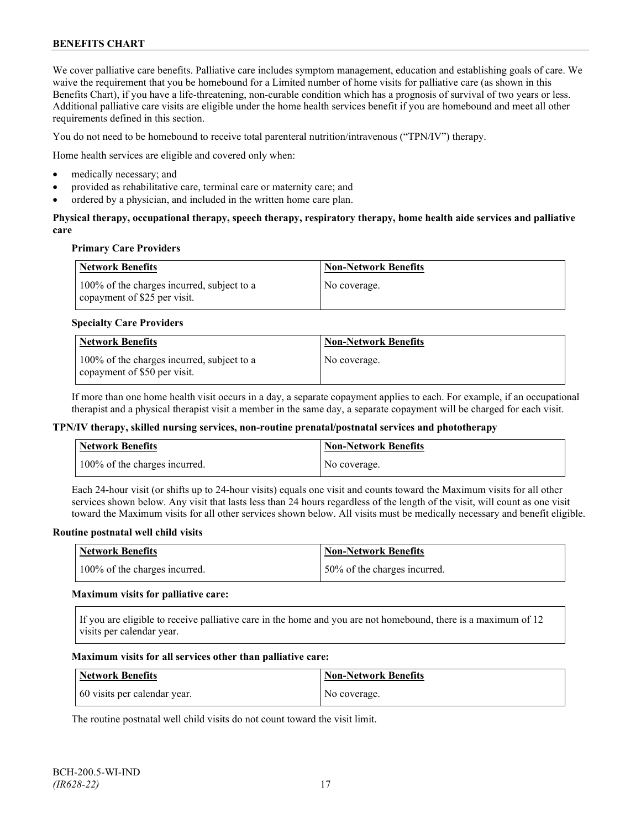We cover palliative care benefits. Palliative care includes symptom management, education and establishing goals of care. We waive the requirement that you be homebound for a Limited number of home visits for palliative care (as shown in this Benefits Chart), if you have a life-threatening, non-curable condition which has a prognosis of survival of two years or less. Additional palliative care visits are eligible under the home health services benefit if you are homebound and meet all other requirements defined in this section.

You do not need to be homebound to receive total parenteral nutrition/intravenous ("TPN/IV") therapy.

Home health services are eligible and covered only when:

- medically necessary; and
- provided as rehabilitative care, terminal care or maternity care; and
- ordered by a physician, and included in the written home care plan.

## **Physical therapy, occupational therapy, speech therapy, respiratory therapy, home health aide services and palliative care**

### **Primary Care Providers**

| Network Benefits                                                           | <b>Non-Network Benefits</b> |
|----------------------------------------------------------------------------|-----------------------------|
| 100% of the charges incurred, subject to a<br>copayment of \$25 per visit. | No coverage.                |

### **Specialty Care Providers**

| Network Benefits                                                           | <b>Non-Network Benefits</b> |
|----------------------------------------------------------------------------|-----------------------------|
| 100% of the charges incurred, subject to a<br>copayment of \$50 per visit. | No coverage.                |

If more than one home health visit occurs in a day, a separate copayment applies to each. For example, if an occupational therapist and a physical therapist visit a member in the same day, a separate copayment will be charged for each visit.

#### **TPN/IV therapy, skilled nursing services, non-routine prenatal/postnatal services and phototherapy**

| <b>Network Benefits</b>       | <b>Non-Network Benefits</b> |
|-------------------------------|-----------------------------|
| 100% of the charges incurred. | No coverage.                |

Each 24-hour visit (or shifts up to 24-hour visits) equals one visit and counts toward the Maximum visits for all other services shown below. Any visit that lasts less than 24 hours regardless of the length of the visit, will count as one visit toward the Maximum visits for all other services shown below. All visits must be medically necessary and benefit eligible.

#### **Routine postnatal well child visits**

| Network Benefits              | <b>Non-Network Benefits</b>  |
|-------------------------------|------------------------------|
| 100% of the charges incurred. | 50% of the charges incurred. |

#### **Maximum visits for palliative care:**

If you are eligible to receive palliative care in the home and you are not homebound, there is a maximum of 12 visits per calendar year.

#### **Maximum visits for all services other than palliative care:**

| Network Benefits             | <b>Non-Network Benefits</b> |
|------------------------------|-----------------------------|
| 60 visits per calendar year. | No coverage.                |

The routine postnatal well child visits do not count toward the visit limit.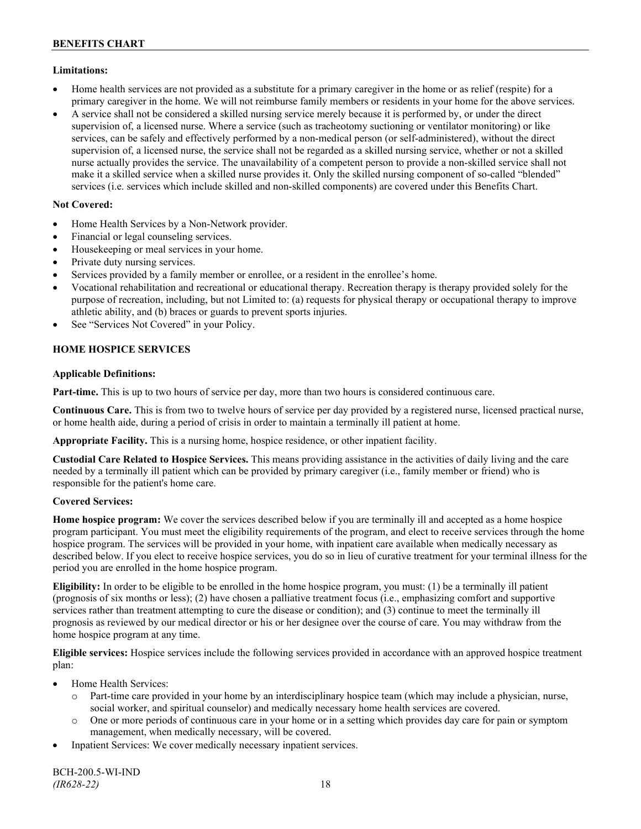## **Limitations:**

- Home health services are not provided as a substitute for a primary caregiver in the home or as relief (respite) for a primary caregiver in the home. We will not reimburse family members or residents in your home for the above services.
- A service shall not be considered a skilled nursing service merely because it is performed by, or under the direct supervision of, a licensed nurse. Where a service (such as tracheotomy suctioning or ventilator monitoring) or like services, can be safely and effectively performed by a non-medical person (or self-administered), without the direct supervision of, a licensed nurse, the service shall not be regarded as a skilled nursing service, whether or not a skilled nurse actually provides the service. The unavailability of a competent person to provide a non-skilled service shall not make it a skilled service when a skilled nurse provides it. Only the skilled nursing component of so-called "blended" services (i.e. services which include skilled and non-skilled components) are covered under this Benefits Chart.

## **Not Covered:**

- Home Health Services by a Non-Network provider.
- Financial or legal counseling services.
- Housekeeping or meal services in your home.
- Private duty nursing services.
- Services provided by a family member or enrollee, or a resident in the enrollee's home.
- Vocational rehabilitation and recreational or educational therapy. Recreation therapy is therapy provided solely for the purpose of recreation, including, but not Limited to: (a) requests for physical therapy or occupational therapy to improve athletic ability, and (b) braces or guards to prevent sports injuries.
- See "Services Not Covered" in your Policy.

## **HOME HOSPICE SERVICES**

## **Applicable Definitions:**

**Part-time.** This is up to two hours of service per day, more than two hours is considered continuous care.

**Continuous Care.** This is from two to twelve hours of service per day provided by a registered nurse, licensed practical nurse, or home health aide, during a period of crisis in order to maintain a terminally ill patient at home.

**Appropriate Facility.** This is a nursing home, hospice residence, or other inpatient facility.

**Custodial Care Related to Hospice Services.** This means providing assistance in the activities of daily living and the care needed by a terminally ill patient which can be provided by primary caregiver (i.e., family member or friend) who is responsible for the patient's home care.

## **Covered Services:**

**Home hospice program:** We cover the services described below if you are terminally ill and accepted as a home hospice program participant. You must meet the eligibility requirements of the program, and elect to receive services through the home hospice program. The services will be provided in your home, with inpatient care available when medically necessary as described below. If you elect to receive hospice services, you do so in lieu of curative treatment for your terminal illness for the period you are enrolled in the home hospice program.

**Eligibility:** In order to be eligible to be enrolled in the home hospice program, you must: (1) be a terminally ill patient (prognosis of six months or less); (2) have chosen a palliative treatment focus (i.e., emphasizing comfort and supportive services rather than treatment attempting to cure the disease or condition); and (3) continue to meet the terminally ill prognosis as reviewed by our medical director or his or her designee over the course of care. You may withdraw from the home hospice program at any time.

**Eligible services:** Hospice services include the following services provided in accordance with an approved hospice treatment plan:

- Home Health Services:
	- o Part-time care provided in your home by an interdisciplinary hospice team (which may include a physician, nurse, social worker, and spiritual counselor) and medically necessary home health services are covered.
	- o One or more periods of continuous care in your home or in a setting which provides day care for pain or symptom management, when medically necessary, will be covered.
- Inpatient Services: We cover medically necessary inpatient services.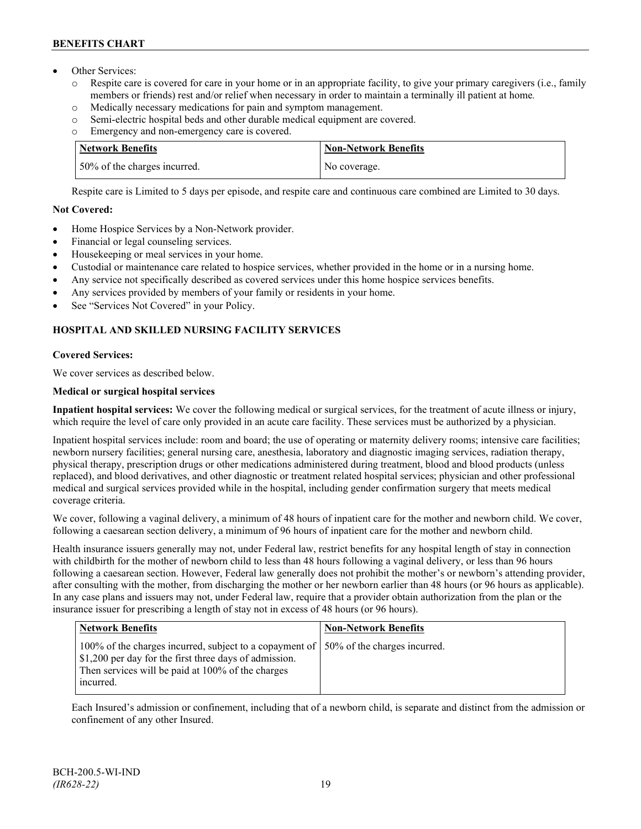- Other Services:
	- o Respite care is covered for care in your home or in an appropriate facility, to give your primary caregivers (i.e., family members or friends) rest and/or relief when necessary in order to maintain a terminally ill patient at home*.*
	- o Medically necessary medications for pain and symptom management.
	- o Semi-electric hospital beds and other durable medical equipment are covered.
	- o Emergency and non-emergency care is covered.

| <b>Network Benefits</b>      | <b>Non-Network Benefits</b> |
|------------------------------|-----------------------------|
| 50% of the charges incurred. | No coverage.                |

Respite care is Limited to 5 days per episode, and respite care and continuous care combined are Limited to 30 days.

## **Not Covered:**

- Home Hospice Services by a Non-Network provider.
- Financial or legal counseling services.
- Housekeeping or meal services in your home.
- Custodial or maintenance care related to hospice services, whether provided in the home or in a nursing home.
- Any service not specifically described as covered services under this home hospice services benefits.
- Any services provided by members of your family or residents in your home.
- See "Services Not Covered" in your Policy.

## **HOSPITAL AND SKILLED NURSING FACILITY SERVICES**

## **Covered Services:**

We cover services as described below.

## **Medical or surgical hospital services**

**Inpatient hospital services:** We cover the following medical or surgical services, for the treatment of acute illness or injury, which require the level of care only provided in an acute care facility. These services must be authorized by a physician.

Inpatient hospital services include: room and board; the use of operating or maternity delivery rooms; intensive care facilities; newborn nursery facilities; general nursing care, anesthesia, laboratory and diagnostic imaging services, radiation therapy, physical therapy, prescription drugs or other medications administered during treatment, blood and blood products (unless replaced), and blood derivatives, and other diagnostic or treatment related hospital services; physician and other professional medical and surgical services provided while in the hospital, including gender confirmation surgery that meets medical coverage criteria.

We cover, following a vaginal delivery, a minimum of 48 hours of inpatient care for the mother and newborn child. We cover, following a caesarean section delivery, a minimum of 96 hours of inpatient care for the mother and newborn child.

Health insurance issuers generally may not, under Federal law, restrict benefits for any hospital length of stay in connection with childbirth for the mother of newborn child to less than 48 hours following a vaginal delivery, or less than 96 hours following a caesarean section. However, Federal law generally does not prohibit the mother's or newborn's attending provider, after consulting with the mother, from discharging the mother or her newborn earlier than 48 hours (or 96 hours as applicable). In any case plans and issuers may not, under Federal law, require that a provider obtain authorization from the plan or the insurance issuer for prescribing a length of stay not in excess of 48 hours (or 96 hours).

| <b>Network Benefits</b>                                                                                                                                                                                            | <b>Non-Network Benefits</b> |
|--------------------------------------------------------------------------------------------------------------------------------------------------------------------------------------------------------------------|-----------------------------|
| 100% of the charges incurred, subject to a copayment of   50% of the charges incurred.<br>\$1,200 per day for the first three days of admission.<br>Then services will be paid at 100% of the charges<br>incurred. |                             |

Each Insured's admission or confinement, including that of a newborn child, is separate and distinct from the admission or confinement of any other Insured.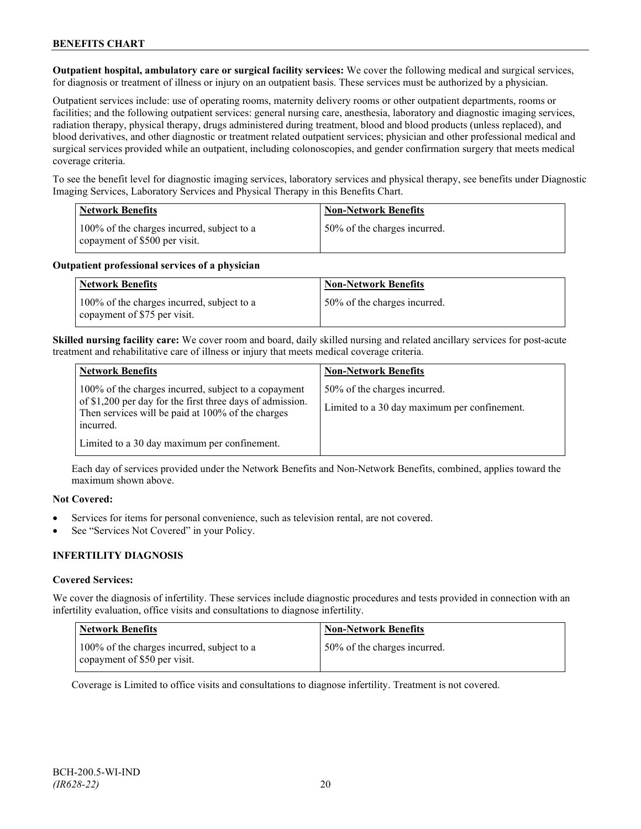**Outpatient hospital, ambulatory care or surgical facility services:** We cover the following medical and surgical services, for diagnosis or treatment of illness or injury on an outpatient basis. These services must be authorized by a physician.

Outpatient services include: use of operating rooms, maternity delivery rooms or other outpatient departments, rooms or facilities; and the following outpatient services: general nursing care, anesthesia, laboratory and diagnostic imaging services, radiation therapy, physical therapy, drugs administered during treatment, blood and blood products (unless replaced), and blood derivatives, and other diagnostic or treatment related outpatient services; physician and other professional medical and surgical services provided while an outpatient, including colonoscopies, and gender confirmation surgery that meets medical coverage criteria.

To see the benefit level for diagnostic imaging services, laboratory services and physical therapy, see benefits under Diagnostic Imaging Services, Laboratory Services and Physical Therapy in this Benefits Chart.

| <b>Network Benefits</b>                                                     | <b>Non-Network Benefits</b>  |
|-----------------------------------------------------------------------------|------------------------------|
| 100% of the charges incurred, subject to a<br>copayment of \$500 per visit. | 50% of the charges incurred. |

### **Outpatient professional services of a physician**

| <b>Network Benefits</b>                                                    | <b>Non-Network Benefits</b>  |
|----------------------------------------------------------------------------|------------------------------|
| 100% of the charges incurred, subject to a<br>copayment of \$75 per visit. | 50% of the charges incurred. |

**Skilled nursing facility care:** We cover room and board, daily skilled nursing and related ancillary services for post-acute treatment and rehabilitative care of illness or injury that meets medical coverage criteria.

| <b>Network Benefits</b>                                                                                           | <b>Non-Network Benefits</b>                  |
|-------------------------------------------------------------------------------------------------------------------|----------------------------------------------|
| 100% of the charges incurred, subject to a copayment<br>of \$1,200 per day for the first three days of admission. | 50% of the charges incurred.                 |
| Then services will be paid at 100% of the charges<br>incurred.                                                    | Limited to a 30 day maximum per confinement. |
| Limited to a 30 day maximum per confinement.                                                                      |                                              |

Each day of services provided under the Network Benefits and Non-Network Benefits, combined, applies toward the maximum shown above.

## **Not Covered:**

- Services for items for personal convenience, such as television rental, are not covered.
- See "Services Not Covered" in your Policy.

## **INFERTILITY DIAGNOSIS**

## **Covered Services:**

We cover the diagnosis of infertility. These services include diagnostic procedures and tests provided in connection with an infertility evaluation, office visits and consultations to diagnose infertility.

| <b>Network Benefits</b>                                                    | <b>Non-Network Benefits</b>  |
|----------------------------------------------------------------------------|------------------------------|
| 100% of the charges incurred, subject to a<br>copayment of \$50 per visit. | 50% of the charges incurred. |

Coverage is Limited to office visits and consultations to diagnose infertility. Treatment is not covered.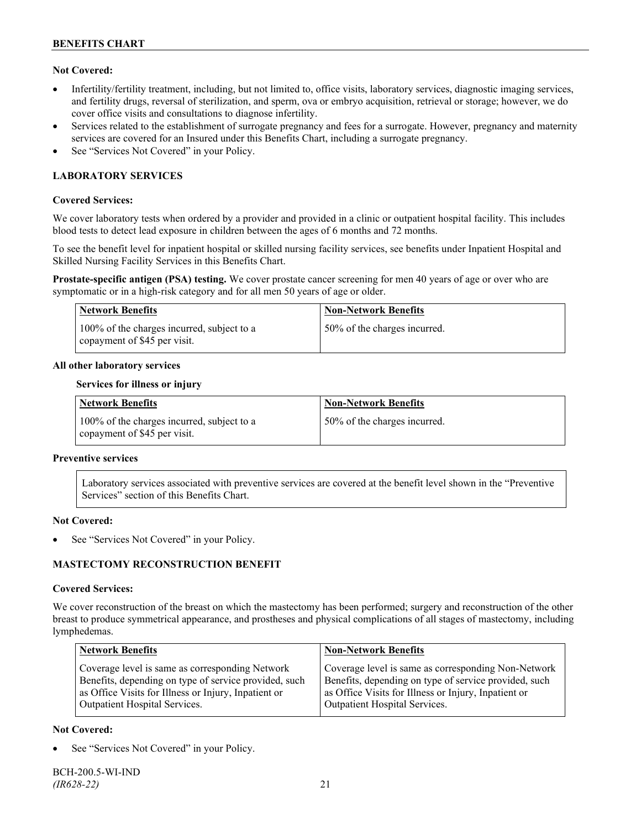## **Not Covered:**

- Infertility/fertility treatment, including, but not limited to, office visits, laboratory services, diagnostic imaging services, and fertility drugs, reversal of sterilization, and sperm, ova or embryo acquisition, retrieval or storage; however, we do cover office visits and consultations to diagnose infertility.
- Services related to the establishment of surrogate pregnancy and fees for a surrogate. However, pregnancy and maternity services are covered for an Insured under this Benefits Chart, including a surrogate pregnancy.
- See "Services Not Covered" in your Policy.

## **LABORATORY SERVICES**

### **Covered Services:**

We cover laboratory tests when ordered by a provider and provided in a clinic or outpatient hospital facility. This includes blood tests to detect lead exposure in children between the ages of 6 months and 72 months.

To see the benefit level for inpatient hospital or skilled nursing facility services, see benefits under Inpatient Hospital and Skilled Nursing Facility Services in this Benefits Chart.

**Prostate-specific antigen (PSA) testing.** We cover prostate cancer screening for men 40 years of age or over who are symptomatic or in a high-risk category and for all men 50 years of age or older.

| <b>Network Benefits</b>                                                    | <b>Non-Network Benefits</b>  |
|----------------------------------------------------------------------------|------------------------------|
| 100% of the charges incurred, subject to a<br>copayment of \$45 per visit. | 50% of the charges incurred. |

### **All other laboratory services**

#### **Services for illness or injury**

| <b>Network Benefits</b>                                                    | <b>Non-Network Benefits</b>  |
|----------------------------------------------------------------------------|------------------------------|
| 100% of the charges incurred, subject to a<br>copayment of \$45 per visit. | 50% of the charges incurred. |

#### **Preventive services**

Laboratory services associated with preventive services are covered at the benefit level shown in the "Preventive Services" section of this Benefits Chart.

#### **Not Covered:**

See "Services Not Covered" in your Policy.

## **MASTECTOMY RECONSTRUCTION BENEFIT**

#### **Covered Services:**

We cover reconstruction of the breast on which the mastectomy has been performed; surgery and reconstruction of the other breast to produce symmetrical appearance, and prostheses and physical complications of all stages of mastectomy, including lymphedemas.

| <b>Network Benefits</b>                               | <b>Non-Network Benefits</b>                           |
|-------------------------------------------------------|-------------------------------------------------------|
| Coverage level is same as corresponding Network       | Coverage level is same as corresponding Non-Network   |
| Benefits, depending on type of service provided, such | Benefits, depending on type of service provided, such |
| as Office Visits for Illness or Injury, Inpatient or  | as Office Visits for Illness or Injury, Inpatient or  |
| Outpatient Hospital Services.                         | Outpatient Hospital Services.                         |

## **Not Covered:**

See "Services Not Covered" in your Policy.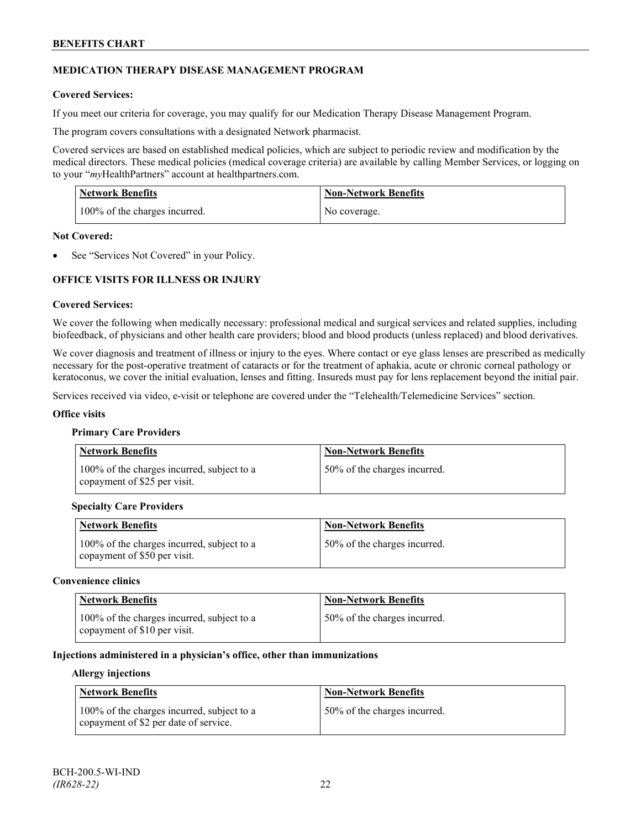## **MEDICATION THERAPY DISEASE MANAGEMENT PROGRAM**

## **Covered Services:**

If you meet our criteria for coverage, you may qualify for our Medication Therapy Disease Management Program.

The program covers consultations with a designated Network pharmacist.

Covered services are based on established medical policies, which are subject to periodic review and modification by the medical directors. These medical policies (medical coverage criteria) are available by calling Member Services, or logging on to your "*my*HealthPartners" account at [healthpartners.com.](http://www.healthpartners.com/)

| <b>Network Benefits</b>       | <b>Non-Network Benefits</b> |
|-------------------------------|-----------------------------|
| 100% of the charges incurred. | No coverage.                |

### **Not Covered:**

See "Services Not Covered" in your Policy.

## **OFFICE VISITS FOR ILLNESS OR INJURY**

### **Covered Services:**

We cover the following when medically necessary: professional medical and surgical services and related supplies, including biofeedback, of physicians and other health care providers; blood and blood products (unless replaced) and blood derivatives.

We cover diagnosis and treatment of illness or injury to the eyes. Where contact or eye glass lenses are prescribed as medically necessary for the post-operative treatment of cataracts or for the treatment of aphakia, acute or chronic corneal pathology or keratoconus, we cover the initial evaluation, lenses and fitting. Insureds must pay for lens replacement beyond the initial pair.

Services received via video, e-visit or telephone are covered under the "Telehealth/Telemedicine Services" section.

#### **Office visits**

#### **Primary Care Providers**

| <b>Network Benefits</b>                                                    | <b>Non-Network Benefits</b>  |
|----------------------------------------------------------------------------|------------------------------|
| 100% of the charges incurred, subject to a<br>copayment of \$25 per visit. | 50% of the charges incurred. |

#### **Specialty Care Providers**

| <b>Network Benefits</b>                                                    | <b>Non-Network Benefits</b>  |
|----------------------------------------------------------------------------|------------------------------|
| 100% of the charges incurred, subject to a<br>copayment of \$50 per visit. | 50% of the charges incurred. |

#### **Convenience clinics**

| <b>Network Benefits</b>                                                    | <b>Non-Network Benefits</b>  |
|----------------------------------------------------------------------------|------------------------------|
| 100% of the charges incurred, subject to a<br>copayment of \$10 per visit. | 50% of the charges incurred. |

### **Injections administered in a physician's office, other than immunizations**

#### **Allergy injections**

| <b>Network Benefits</b>                                                             | Non-Network Benefits         |
|-------------------------------------------------------------------------------------|------------------------------|
| 100% of the charges incurred, subject to a<br>copayment of \$2 per date of service. | 50% of the charges incurred. |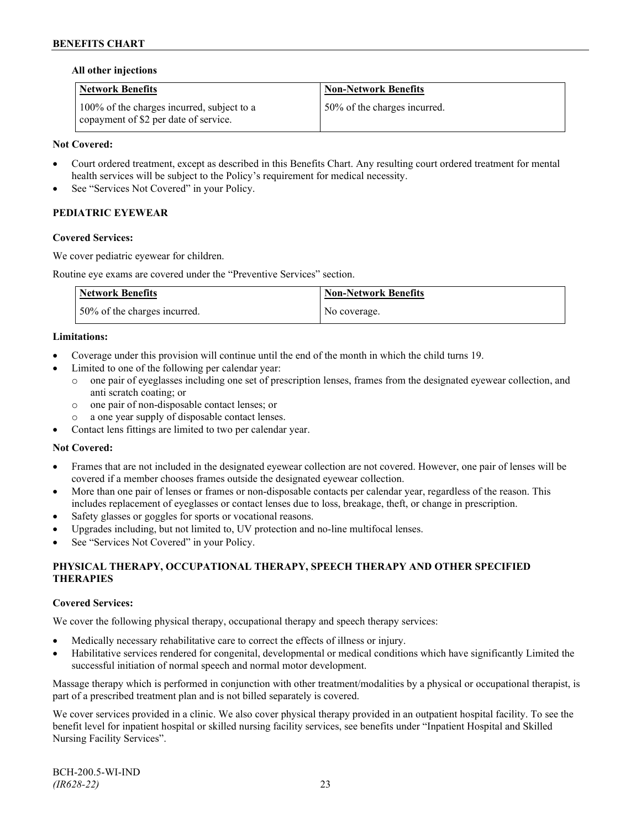## **All other injections**

| <b>Network Benefits</b>                                                             | <b>Non-Network Benefits</b>  |
|-------------------------------------------------------------------------------------|------------------------------|
| 100% of the charges incurred, subject to a<br>copayment of \$2 per date of service. | 50% of the charges incurred. |

## **Not Covered:**

- Court ordered treatment, except as described in this Benefits Chart. Any resulting court ordered treatment for mental health services will be subject to the Policy's requirement for medical necessity.
- See "Services Not Covered" in your Policy.

## **PEDIATRIC EYEWEAR**

### **Covered Services:**

We cover pediatric eyewear for children.

Routine eye exams are covered under the "Preventive Services" section.

| <b>Network Benefits</b>      | Non-Network Benefits |
|------------------------------|----------------------|
| 50% of the charges incurred. | No coverage.         |

### **Limitations:**

- Coverage under this provision will continue until the end of the month in which the child turns 19.
- Limited to one of the following per calendar year:
	- o one pair of eyeglasses including one set of prescription lenses, frames from the designated eyewear collection, and anti scratch coating; or
	- o one pair of non-disposable contact lenses; or
	- a one year supply of disposable contact lenses.
- Contact lens fittings are limited to two per calendar year.

#### **Not Covered:**

- Frames that are not included in the designated eyewear collection are not covered. However, one pair of lenses will be covered if a member chooses frames outside the designated eyewear collection.
- More than one pair of lenses or frames or non-disposable contacts per calendar year, regardless of the reason. This includes replacement of eyeglasses or contact lenses due to loss, breakage, theft, or change in prescription.
- Safety glasses or goggles for sports or vocational reasons.
- Upgrades including, but not limited to, UV protection and no-line multifocal lenses.
- See "Services Not Covered" in your Policy.

## **PHYSICAL THERAPY, OCCUPATIONAL THERAPY, SPEECH THERAPY AND OTHER SPECIFIED THERAPIES**

## **Covered Services:**

We cover the following physical therapy, occupational therapy and speech therapy services:

- Medically necessary rehabilitative care to correct the effects of illness or injury.
- Habilitative services rendered for congenital, developmental or medical conditions which have significantly Limited the successful initiation of normal speech and normal motor development.

Massage therapy which is performed in conjunction with other treatment/modalities by a physical or occupational therapist, is part of a prescribed treatment plan and is not billed separately is covered.

We cover services provided in a clinic. We also cover physical therapy provided in an outpatient hospital facility. To see the benefit level for inpatient hospital or skilled nursing facility services, see benefits under "Inpatient Hospital and Skilled Nursing Facility Services".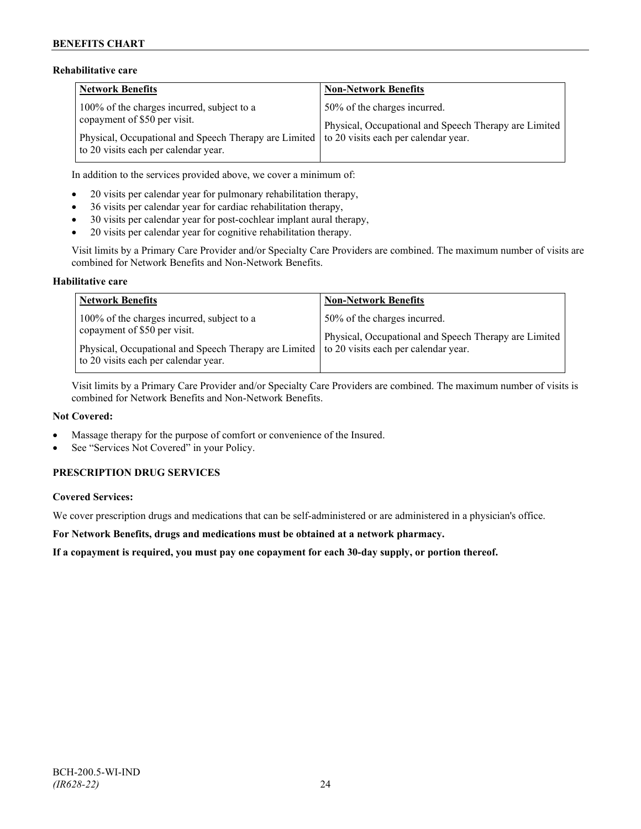## **Rehabilitative care**

| <b>Network Benefits</b>                                                                                                            | <b>Non-Network Benefits</b>                                                           |
|------------------------------------------------------------------------------------------------------------------------------------|---------------------------------------------------------------------------------------|
| 100% of the charges incurred, subject to a<br>copayment of \$50 per visit.                                                         | 50% of the charges incurred.<br>Physical, Occupational and Speech Therapy are Limited |
| Physical, Occupational and Speech Therapy are Limited to 20 visits each per calendar year.<br>to 20 visits each per calendar year. |                                                                                       |

In addition to the services provided above, we cover a minimum of:

- 20 visits per calendar year for pulmonary rehabilitation therapy,
- 36 visits per calendar year for cardiac rehabilitation therapy,
- 30 visits per calendar year for post-cochlear implant aural therapy,
- 20 visits per calendar year for cognitive rehabilitation therapy.

Visit limits by a Primary Care Provider and/or Specialty Care Providers are combined. The maximum number of visits are combined for Network Benefits and Non-Network Benefits.

### **Habilitative care**

| <b>Network Benefits</b>                                                                                                                                                                                          | <b>Non-Network Benefits</b>                                                           |
|------------------------------------------------------------------------------------------------------------------------------------------------------------------------------------------------------------------|---------------------------------------------------------------------------------------|
| 100% of the charges incurred, subject to a<br>copayment of \$50 per visit.<br>Physical, Occupational and Speech Therapy are Limited to 20 visits each per calendar year.<br>to 20 visits each per calendar year. | 50% of the charges incurred.<br>Physical, Occupational and Speech Therapy are Limited |

Visit limits by a Primary Care Provider and/or Specialty Care Providers are combined. The maximum number of visits is combined for Network Benefits and Non-Network Benefits.

#### **Not Covered:**

- Massage therapy for the purpose of comfort or convenience of the Insured.
- See "Services Not Covered" in your Policy.

## **PRESCRIPTION DRUG SERVICES**

## **Covered Services:**

We cover prescription drugs and medications that can be self-administered or are administered in a physician's office.

**For Network Benefits, drugs and medications must be obtained at a network pharmacy.**

**If a copayment is required, you must pay one copayment for each 30-day supply, or portion thereof.**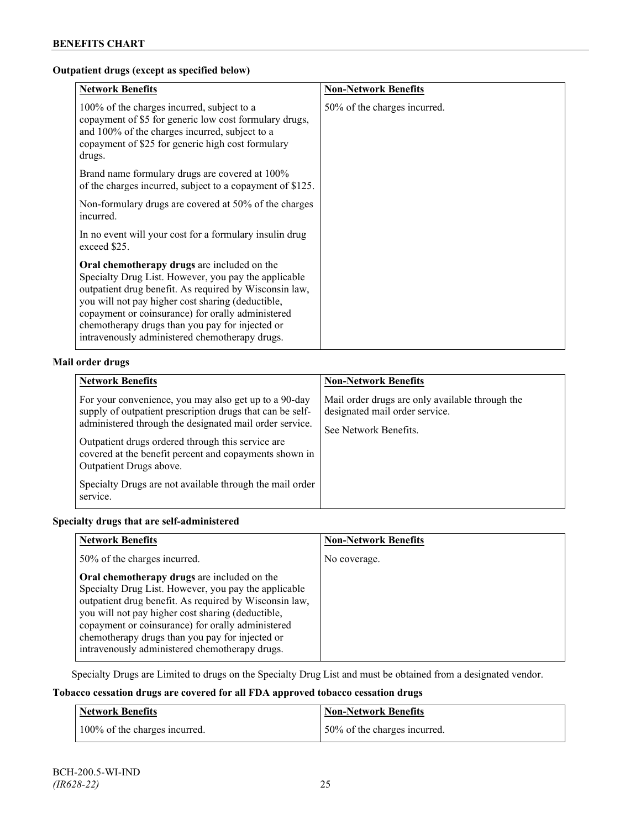## **Outpatient drugs (except as specified below)**

| <b>Network Benefits</b>                                                                                                                                                                                                                                                                                                                                                      | <b>Non-Network Benefits</b>  |
|------------------------------------------------------------------------------------------------------------------------------------------------------------------------------------------------------------------------------------------------------------------------------------------------------------------------------------------------------------------------------|------------------------------|
| 100% of the charges incurred, subject to a<br>copayment of \$5 for generic low cost formulary drugs,<br>and 100% of the charges incurred, subject to a<br>copayment of \$25 for generic high cost formulary<br>drugs.                                                                                                                                                        | 50% of the charges incurred. |
| Brand name formulary drugs are covered at 100%<br>of the charges incurred, subject to a copayment of \$125.                                                                                                                                                                                                                                                                  |                              |
| Non-formulary drugs are covered at 50% of the charges<br>incurred.                                                                                                                                                                                                                                                                                                           |                              |
| In no event will your cost for a formulary insulin drug<br>exceed \$25.                                                                                                                                                                                                                                                                                                      |                              |
| Oral chemotherapy drugs are included on the<br>Specialty Drug List. However, you pay the applicable<br>outpatient drug benefit. As required by Wisconsin law,<br>you will not pay higher cost sharing (deductible,<br>copayment or coinsurance) for orally administered<br>chemotherapy drugs than you pay for injected or<br>intravenously administered chemotherapy drugs. |                              |

## **Mail order drugs**

| <b>Network Benefits</b>                                                                                                                                                                                                                                                                                                                                                                         | <b>Non-Network Benefits</b>                                                                                |
|-------------------------------------------------------------------------------------------------------------------------------------------------------------------------------------------------------------------------------------------------------------------------------------------------------------------------------------------------------------------------------------------------|------------------------------------------------------------------------------------------------------------|
| For your convenience, you may also get up to a 90-day<br>supply of outpatient prescription drugs that can be self-<br>administered through the designated mail order service.<br>Outpatient drugs ordered through this service are<br>covered at the benefit percent and copayments shown in<br>Outpatient Drugs above.<br>Specialty Drugs are not available through the mail order<br>service. | Mail order drugs are only available through the<br>designated mail order service.<br>See Network Benefits. |

## **Specialty drugs that are self-administered**

| <b>Network Benefits</b>                                                                                                                                                                                                                                                                                                                                                      | <b>Non-Network Benefits</b> |
|------------------------------------------------------------------------------------------------------------------------------------------------------------------------------------------------------------------------------------------------------------------------------------------------------------------------------------------------------------------------------|-----------------------------|
| 50% of the charges incurred.                                                                                                                                                                                                                                                                                                                                                 | No coverage.                |
| Oral chemotherapy drugs are included on the<br>Specialty Drug List. However, you pay the applicable<br>outpatient drug benefit. As required by Wisconsin law,<br>you will not pay higher cost sharing (deductible,<br>copayment or coinsurance) for orally administered<br>chemotherapy drugs than you pay for injected or<br>intravenously administered chemotherapy drugs. |                             |

Specialty Drugs are Limited to drugs on the Specialty Drug List and must be obtained from a designated vendor.

## **Tobacco cessation drugs are covered for all FDA approved tobacco cessation drugs**

| <b>Network Benefits</b>       | <b>Non-Network Benefits</b>  |
|-------------------------------|------------------------------|
| 100% of the charges incurred. | 50% of the charges incurred. |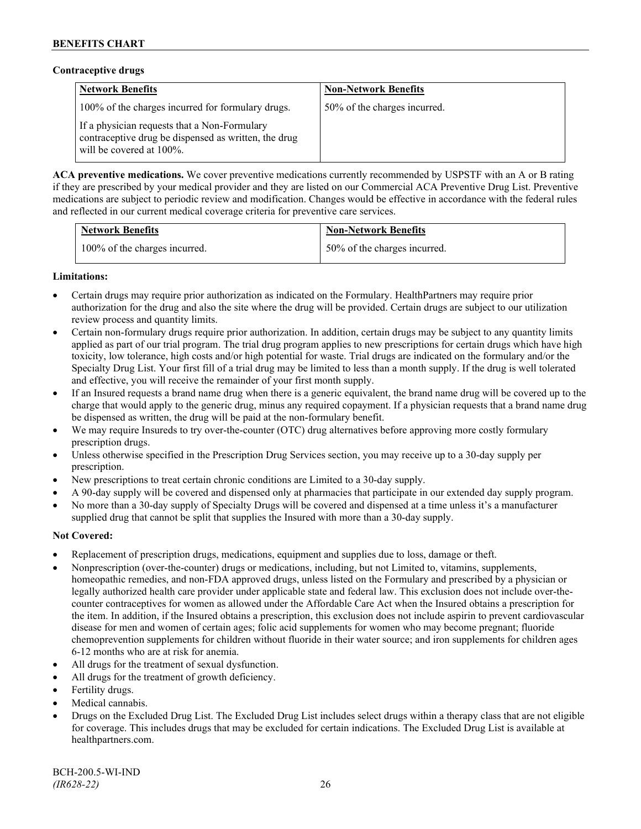### **Contraceptive drugs**

| <b>Network Benefits</b>                                                                                                          | <b>Non-Network Benefits</b>  |
|----------------------------------------------------------------------------------------------------------------------------------|------------------------------|
| 100% of the charges incurred for formulary drugs.                                                                                | 50% of the charges incurred. |
| If a physician requests that a Non-Formulary<br>contraceptive drug be dispensed as written, the drug<br>will be covered at 100%. |                              |

**ACA preventive medications.** We cover preventive medications currently recommended by USPSTF with an A or B rating if they are prescribed by your medical provider and they are listed on our Commercial ACA Preventive Drug List. Preventive medications are subject to periodic review and modification. Changes would be effective in accordance with the federal rules and reflected in our current medical coverage criteria for preventive care services.

| <b>Network Benefits</b>       | <b>Non-Network Benefits</b>  |
|-------------------------------|------------------------------|
| 100% of the charges incurred. | 50% of the charges incurred. |

## **Limitations:**

- Certain drugs may require prior authorization as indicated on the Formulary. HealthPartners may require prior authorization for the drug and also the site where the drug will be provided. Certain drugs are subject to our utilization review process and quantity limits.
- Certain non-formulary drugs require prior authorization. In addition, certain drugs may be subject to any quantity limits applied as part of our trial program. The trial drug program applies to new prescriptions for certain drugs which have high toxicity, low tolerance, high costs and/or high potential for waste. Trial drugs are indicated on the formulary and/or the Specialty Drug List. Your first fill of a trial drug may be limited to less than a month supply. If the drug is well tolerated and effective, you will receive the remainder of your first month supply.
- If an Insured requests a brand name drug when there is a generic equivalent, the brand name drug will be covered up to the charge that would apply to the generic drug, minus any required copayment. If a physician requests that a brand name drug be dispensed as written, the drug will be paid at the non-formulary benefit.
- We may require Insureds to try over-the-counter (OTC) drug alternatives before approving more costly formulary prescription drugs.
- Unless otherwise specified in the Prescription Drug Services section, you may receive up to a 30-day supply per prescription.
- New prescriptions to treat certain chronic conditions are Limited to a 30-day supply.
- A 90-day supply will be covered and dispensed only at pharmacies that participate in our extended day supply program.
- No more than a 30-day supply of Specialty Drugs will be covered and dispensed at a time unless it's a manufacturer supplied drug that cannot be split that supplies the Insured with more than a 30-day supply.

## **Not Covered:**

- Replacement of prescription drugs, medications, equipment and supplies due to loss, damage or theft.
- Nonprescription (over-the-counter) drugs or medications, including, but not Limited to, vitamins, supplements, homeopathic remedies, and non-FDA approved drugs, unless listed on the Formulary and prescribed by a physician or legally authorized health care provider under applicable state and federal law. This exclusion does not include over-thecounter contraceptives for women as allowed under the Affordable Care Act when the Insured obtains a prescription for the item. In addition, if the Insured obtains a prescription, this exclusion does not include aspirin to prevent cardiovascular disease for men and women of certain ages; folic acid supplements for women who may become pregnant; fluoride chemoprevention supplements for children without fluoride in their water source; and iron supplements for children ages 6-12 months who are at risk for anemia.
- All drugs for the treatment of sexual dysfunction.
- All drugs for the treatment of growth deficiency.
- Fertility drugs.
- Medical cannabis.
- Drugs on the Excluded Drug List. The Excluded Drug List includes select drugs within a therapy class that are not eligible for coverage. This includes drugs that may be excluded for certain indications. The Excluded Drug List is available at [healthpartners.com.](http://www.healthpartners.com/)

BCH-200.5-WI-IND *(IR628-22)* 26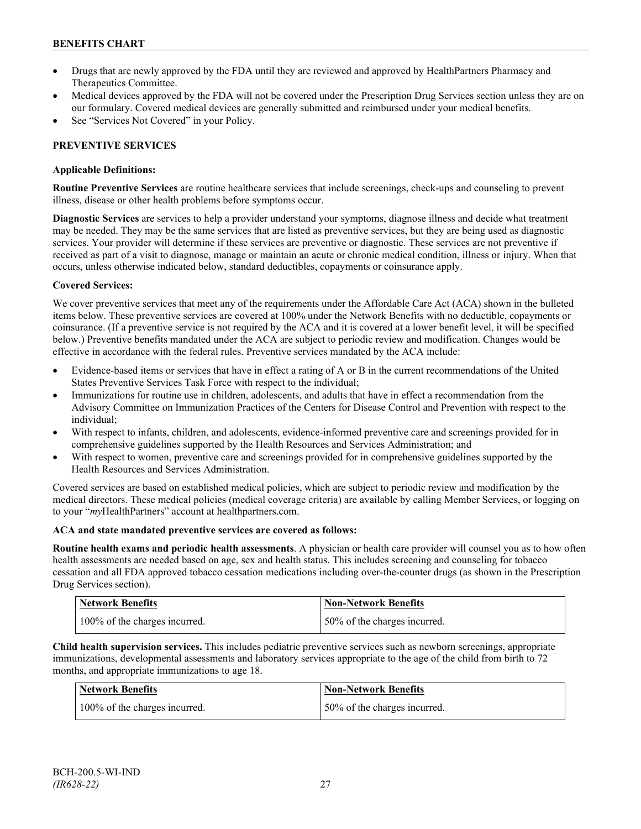- Drugs that are newly approved by the FDA until they are reviewed and approved by HealthPartners Pharmacy and Therapeutics Committee.
- Medical devices approved by the FDA will not be covered under the Prescription Drug Services section unless they are on our formulary. Covered medical devices are generally submitted and reimbursed under your medical benefits.
- See "Services Not Covered" in your Policy.

## **PREVENTIVE SERVICES**

### **Applicable Definitions:**

**Routine Preventive Services** are routine healthcare services that include screenings, check-ups and counseling to prevent illness, disease or other health problems before symptoms occur.

**Diagnostic Services** are services to help a provider understand your symptoms, diagnose illness and decide what treatment may be needed. They may be the same services that are listed as preventive services, but they are being used as diagnostic services. Your provider will determine if these services are preventive or diagnostic. These services are not preventive if received as part of a visit to diagnose, manage or maintain an acute or chronic medical condition, illness or injury. When that occurs, unless otherwise indicated below, standard deductibles, copayments or coinsurance apply.

## **Covered Services:**

We cover preventive services that meet any of the requirements under the Affordable Care Act (ACA) shown in the bulleted items below. These preventive services are covered at 100% under the Network Benefits with no deductible, copayments or coinsurance. (If a preventive service is not required by the ACA and it is covered at a lower benefit level, it will be specified below.) Preventive benefits mandated under the ACA are subject to periodic review and modification. Changes would be effective in accordance with the federal rules. Preventive services mandated by the ACA include:

- Evidence-based items or services that have in effect a rating of A or B in the current recommendations of the United States Preventive Services Task Force with respect to the individual;
- Immunizations for routine use in children, adolescents, and adults that have in effect a recommendation from the Advisory Committee on Immunization Practices of the Centers for Disease Control and Prevention with respect to the individual;
- With respect to infants, children, and adolescents, evidence-informed preventive care and screenings provided for in comprehensive guidelines supported by the Health Resources and Services Administration; and
- With respect to women, preventive care and screenings provided for in comprehensive guidelines supported by the Health Resources and Services Administration.

Covered services are based on established medical policies, which are subject to periodic review and modification by the medical directors. These medical policies (medical coverage criteria) are available by calling Member Services, or logging on to your "*my*HealthPartners" account at [healthpartners.com.](http://www.healthpartners.com/)

## **ACA and state mandated preventive services are covered as follows:**

**Routine health exams and periodic health assessments**. A physician or health care provider will counsel you as to how often health assessments are needed based on age, sex and health status. This includes screening and counseling for tobacco cessation and all FDA approved tobacco cessation medications including over-the-counter drugs (as shown in the Prescription Drug Services section).

| <b>Network Benefits</b>       | Non-Network Benefits         |
|-------------------------------|------------------------------|
| 100% of the charges incurred. | 50% of the charges incurred. |

**Child health supervision services.** This includes pediatric preventive services such as newborn screenings, appropriate immunizations, developmental assessments and laboratory services appropriate to the age of the child from birth to 72 months, and appropriate immunizations to age 18.

| Network Benefits              | <b>Non-Network Benefits</b>  |
|-------------------------------|------------------------------|
| 100% of the charges incurred. | 50% of the charges incurred. |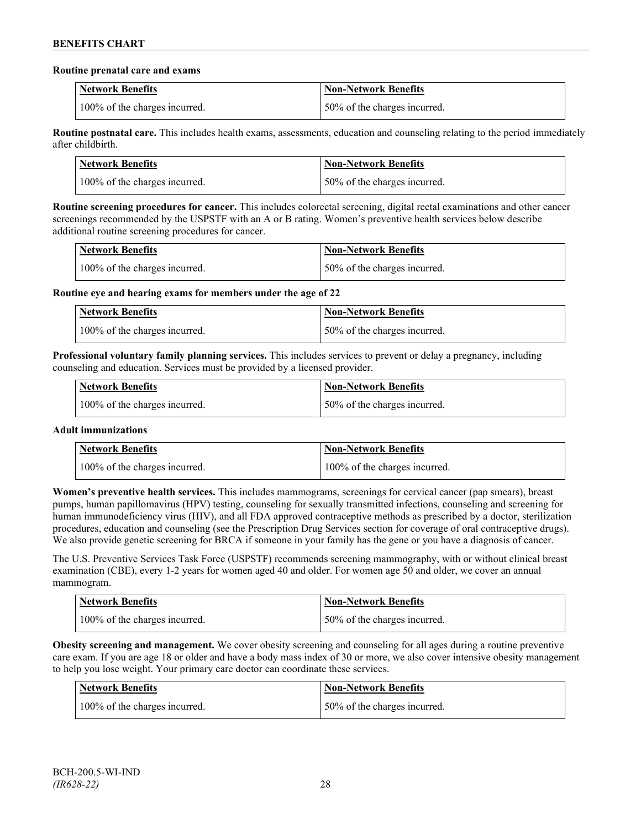### **Routine prenatal care and exams**

| <b>Network Benefits</b>       | <b>Non-Network Benefits</b>  |
|-------------------------------|------------------------------|
| 100% of the charges incurred. | 50% of the charges incurred. |

**Routine postnatal care.** This includes health exams, assessments, education and counseling relating to the period immediately after childbirth.

| <b>Network Benefits</b>       | <b>Non-Network Benefits</b>  |
|-------------------------------|------------------------------|
| 100% of the charges incurred. | 50% of the charges incurred. |

**Routine screening procedures for cancer.** This includes colorectal screening, digital rectal examinations and other cancer screenings recommended by the USPSTF with an A or B rating. Women's preventive health services below describe additional routine screening procedures for cancer.

| <b>Network Benefits</b>       | <b>Non-Network Benefits</b>  |
|-------------------------------|------------------------------|
| 100% of the charges incurred. | 50% of the charges incurred. |

**Routine eye and hearing exams for members under the age of 22**

| <b>Network Benefits</b>       | <b>Non-Network Benefits</b>  |
|-------------------------------|------------------------------|
| 100% of the charges incurred. | 50% of the charges incurred. |

**Professional voluntary family planning services.** This includes services to prevent or delay a pregnancy, including counseling and education. Services must be provided by a licensed provider.

| Network Benefits              | <b>Non-Network Benefits</b>  |
|-------------------------------|------------------------------|
| 100% of the charges incurred. | 50% of the charges incurred. |

## **Adult immunizations**

| <b>Network Benefits</b>       | <b>Non-Network Benefits</b>   |
|-------------------------------|-------------------------------|
| 100% of the charges incurred. | 100% of the charges incurred. |

**Women's preventive health services.** This includes mammograms, screenings for cervical cancer (pap smears), breast pumps, human papillomavirus (HPV) testing, counseling for sexually transmitted infections, counseling and screening for human immunodeficiency virus (HIV), and all FDA approved contraceptive methods as prescribed by a doctor, sterilization procedures, education and counseling (see the Prescription Drug Services section for coverage of oral contraceptive drugs). We also provide genetic screening for BRCA if someone in your family has the gene or you have a diagnosis of cancer.

The U.S. Preventive Services Task Force (USPSTF) recommends screening mammography, with or without clinical breast examination (CBE), every 1-2 years for women aged 40 and older. For women age 50 and older, we cover an annual mammogram.

| <b>Network Benefits</b>       | Non-Network Benefits         |
|-------------------------------|------------------------------|
| 100% of the charges incurred. | 50% of the charges incurred. |

**Obesity screening and management.** We cover obesity screening and counseling for all ages during a routine preventive care exam. If you are age 18 or older and have a body mass index of 30 or more, we also cover intensive obesity management to help you lose weight. Your primary care doctor can coordinate these services.

| Network Benefits              | <b>Non-Network Benefits</b>  |
|-------------------------------|------------------------------|
| 100% of the charges incurred. | 50% of the charges incurred. |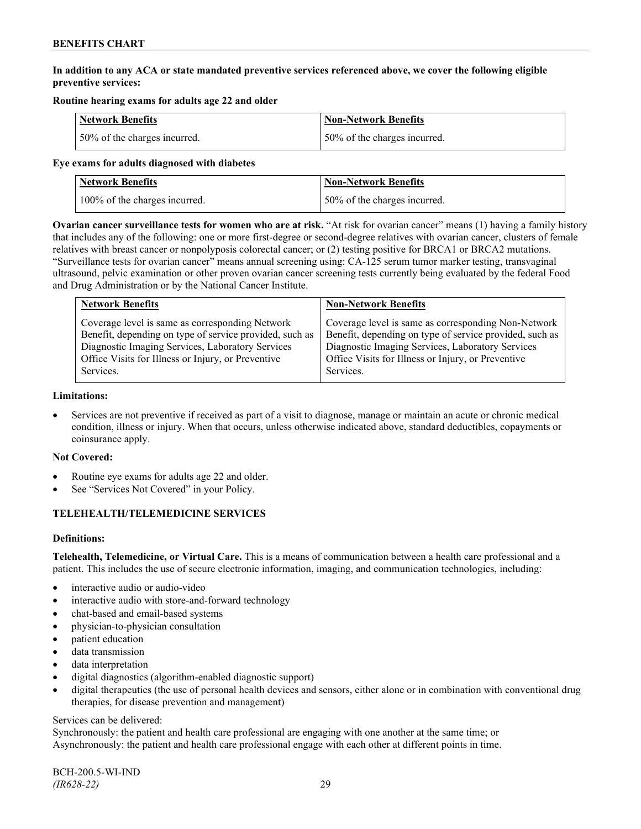## **In addition to any ACA or state mandated preventive services referenced above, we cover the following eligible preventive services:**

## **Routine hearing exams for adults age 22 and older**

| <b>Network Benefits</b>      | <b>Non-Network Benefits</b>  |
|------------------------------|------------------------------|
| 50% of the charges incurred. | 50% of the charges incurred. |

### **Eye exams for adults diagnosed with diabetes**

| <b>Network Benefits</b>       | Non-Network Benefits         |
|-------------------------------|------------------------------|
| 100% of the charges incurred. | 50% of the charges incurred. |

**Ovarian cancer surveillance tests for women who are at risk.** "At risk for ovarian cancer" means (1) having a family history that includes any of the following: one or more first-degree or second-degree relatives with ovarian cancer, clusters of female relatives with breast cancer or nonpolyposis colorectal cancer; or (2) testing positive for BRCA1 or BRCA2 mutations. "Surveillance tests for ovarian cancer" means annual screening using: CA-125 serum tumor marker testing, transvaginal ultrasound, pelvic examination or other proven ovarian cancer screening tests currently being evaluated by the federal Food and Drug Administration or by the National Cancer Institute.

| <b>Network Benefits</b>                                 | <b>Non-Network Benefits</b>                             |
|---------------------------------------------------------|---------------------------------------------------------|
| Coverage level is same as corresponding Network         | Coverage level is same as corresponding Non-Network     |
| Benefit, depending on type of service provided, such as | Benefit, depending on type of service provided, such as |
| Diagnostic Imaging Services, Laboratory Services        | Diagnostic Imaging Services, Laboratory Services        |
| Office Visits for Illness or Injury, or Preventive      | Office Visits for Illness or Injury, or Preventive      |
| Services.                                               | Services.                                               |

#### **Limitations:**

• Services are not preventive if received as part of a visit to diagnose, manage or maintain an acute or chronic medical condition, illness or injury. When that occurs, unless otherwise indicated above, standard deductibles, copayments or coinsurance apply.

## **Not Covered:**

- Routine eye exams for adults age 22 and older.
- See "Services Not Covered" in your Policy.

## **TELEHEALTH/TELEMEDICINE SERVICES**

## **Definitions:**

**Telehealth, Telemedicine, or Virtual Care.** This is a means of communication between a health care professional and a patient. This includes the use of secure electronic information, imaging, and communication technologies, including:

- interactive audio or audio-video
- interactive audio with store-and-forward technology
- chat-based and email-based systems
- physician-to-physician consultation
- patient education
- data transmission
- data interpretation
- digital diagnostics (algorithm-enabled diagnostic support)
- digital therapeutics (the use of personal health devices and sensors, either alone or in combination with conventional drug therapies, for disease prevention and management)

#### Services can be delivered:

Synchronously: the patient and health care professional are engaging with one another at the same time; or Asynchronously: the patient and health care professional engage with each other at different points in time.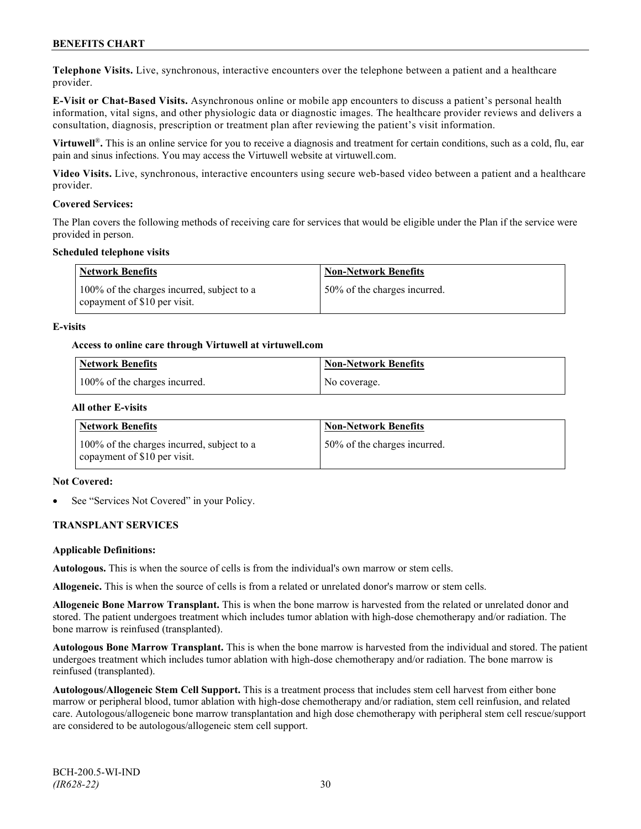**Telephone Visits.** Live, synchronous, interactive encounters over the telephone between a patient and a healthcare provider.

**E-Visit or Chat-Based Visits.** Asynchronous online or mobile app encounters to discuss a patient's personal health information, vital signs, and other physiologic data or diagnostic images. The healthcare provider reviews and delivers a consultation, diagnosis, prescription or treatment plan after reviewing the patient's visit information.

**Virtuwell<sup>®</sup>**. This is an online service for you to receive a diagnosis and treatment for certain conditions, such as a cold, flu, ear pain and sinus infections. You may access the Virtuwell website at [virtuwell.com.](https://www.virtuwell.com/)

**Video Visits.** Live, synchronous, interactive encounters using secure web-based video between a patient and a healthcare provider.

### **Covered Services:**

The Plan covers the following methods of receiving care for services that would be eligible under the Plan if the service were provided in person.

### **Scheduled telephone visits**

| Network Benefits                                                           | <b>Non-Network Benefits</b>  |
|----------------------------------------------------------------------------|------------------------------|
| 100% of the charges incurred, subject to a<br>copayment of \$10 per visit. | 50% of the charges incurred. |

### **E-visits**

### **Access to online care through Virtuwell at [virtuwell.com](http://www.virtuwell.com/)**

| Network Benefits              | Non-Network Benefits |
|-------------------------------|----------------------|
| 100% of the charges incurred. | No coverage.         |

### **All other E-visits**

| Network Benefits                                                              | <b>Non-Network Benefits</b>  |
|-------------------------------------------------------------------------------|------------------------------|
| 100% of the charges incurred, subject to a<br>I copayment of $$10$ per visit. | 50% of the charges incurred. |

#### **Not Covered:**

See "Services Not Covered" in your Policy.

## **TRANSPLANT SERVICES**

#### **Applicable Definitions:**

**Autologous.** This is when the source of cells is from the individual's own marrow or stem cells.

**Allogeneic.** This is when the source of cells is from a related or unrelated donor's marrow or stem cells.

**Allogeneic Bone Marrow Transplant.** This is when the bone marrow is harvested from the related or unrelated donor and stored. The patient undergoes treatment which includes tumor ablation with high-dose chemotherapy and/or radiation. The bone marrow is reinfused (transplanted).

**Autologous Bone Marrow Transplant.** This is when the bone marrow is harvested from the individual and stored. The patient undergoes treatment which includes tumor ablation with high-dose chemotherapy and/or radiation. The bone marrow is reinfused (transplanted).

**Autologous/Allogeneic Stem Cell Support.** This is a treatment process that includes stem cell harvest from either bone marrow or peripheral blood, tumor ablation with high-dose chemotherapy and/or radiation, stem cell reinfusion, and related care. Autologous/allogeneic bone marrow transplantation and high dose chemotherapy with peripheral stem cell rescue/support are considered to be autologous/allogeneic stem cell support.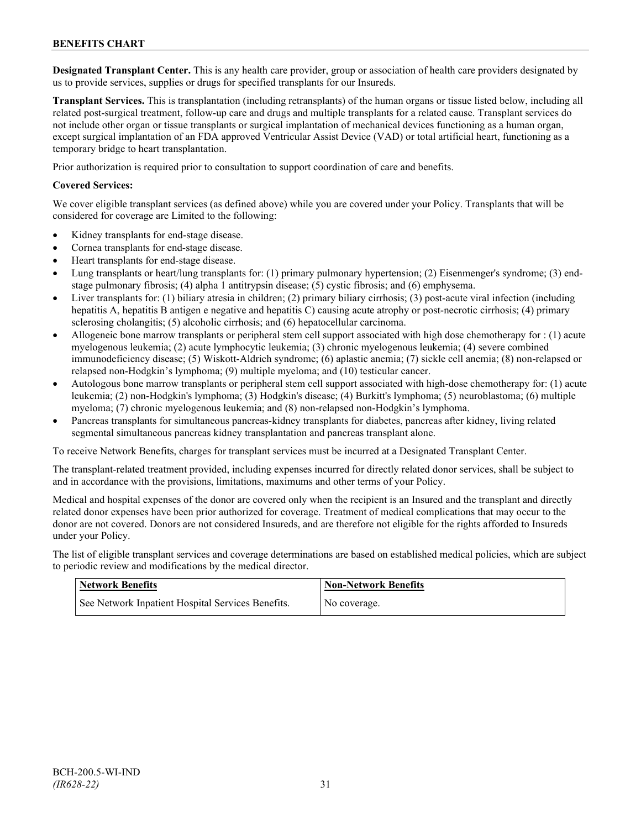**Designated Transplant Center.** This is any health care provider, group or association of health care providers designated by us to provide services, supplies or drugs for specified transplants for our Insureds.

**Transplant Services.** This is transplantation (including retransplants) of the human organs or tissue listed below, including all related post-surgical treatment, follow-up care and drugs and multiple transplants for a related cause. Transplant services do not include other organ or tissue transplants or surgical implantation of mechanical devices functioning as a human organ, except surgical implantation of an FDA approved Ventricular Assist Device (VAD) or total artificial heart, functioning as a temporary bridge to heart transplantation.

Prior authorization is required prior to consultation to support coordination of care and benefits.

### **Covered Services:**

We cover eligible transplant services (as defined above) while you are covered under your Policy. Transplants that will be considered for coverage are Limited to the following:

- Kidney transplants for end-stage disease.
- Cornea transplants for end-stage disease.
- Heart transplants for end-stage disease.
- Lung transplants or heart/lung transplants for: (1) primary pulmonary hypertension; (2) Eisenmenger's syndrome; (3) endstage pulmonary fibrosis; (4) alpha 1 antitrypsin disease; (5) cystic fibrosis; and (6) emphysema.
- Liver transplants for: (1) biliary atresia in children; (2) primary biliary cirrhosis; (3) post-acute viral infection (including hepatitis A, hepatitis B antigen e negative and hepatitis C) causing acute atrophy or post-necrotic cirrhosis; (4) primary sclerosing cholangitis; (5) alcoholic cirrhosis; and (6) hepatocellular carcinoma.
- Allogeneic bone marrow transplants or peripheral stem cell support associated with high dose chemotherapy for : (1) acute myelogenous leukemia; (2) acute lymphocytic leukemia; (3) chronic myelogenous leukemia; (4) severe combined immunodeficiency disease; (5) Wiskott-Aldrich syndrome; (6) aplastic anemia; (7) sickle cell anemia; (8) non-relapsed or relapsed non-Hodgkin's lymphoma; (9) multiple myeloma; and (10) testicular cancer.
- Autologous bone marrow transplants or peripheral stem cell support associated with high-dose chemotherapy for: (1) acute leukemia; (2) non-Hodgkin's lymphoma; (3) Hodgkin's disease; (4) Burkitt's lymphoma; (5) neuroblastoma; (6) multiple myeloma; (7) chronic myelogenous leukemia; and (8) non-relapsed non-Hodgkin's lymphoma.
- Pancreas transplants for simultaneous pancreas-kidney transplants for diabetes, pancreas after kidney, living related segmental simultaneous pancreas kidney transplantation and pancreas transplant alone.

To receive Network Benefits, charges for transplant services must be incurred at a Designated Transplant Center.

The transplant-related treatment provided, including expenses incurred for directly related donor services, shall be subject to and in accordance with the provisions, limitations, maximums and other terms of your Policy.

Medical and hospital expenses of the donor are covered only when the recipient is an Insured and the transplant and directly related donor expenses have been prior authorized for coverage. Treatment of medical complications that may occur to the donor are not covered. Donors are not considered Insureds, and are therefore not eligible for the rights afforded to Insureds under your Policy.

The list of eligible transplant services and coverage determinations are based on established medical policies, which are subject to periodic review and modifications by the medical director.

| <b>Network Benefits</b>                           | <b>Non-Network Benefits</b> |
|---------------------------------------------------|-----------------------------|
| See Network Inpatient Hospital Services Benefits. | No coverage.                |